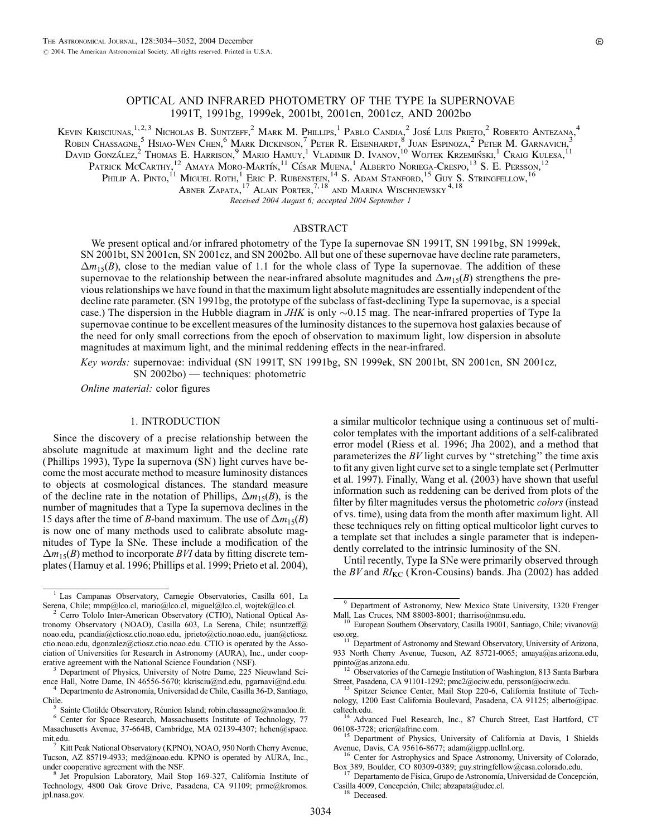# OPTICAL AND INFRARED PHOTOMETRY OF THE TYPE Ia SUPERNOVAE 1991T, 1991bg, 1999ek, 2001bt, 2001cn, 2001cz, AND 2002bo

Kevin Krisciunas,<sup>1,2,3</sup> Nicholas B. Suntzeff,<sup>2</sup> Mark M. Phillips,<sup>1</sup> Pablo Candia,<sup>2</sup> José Luis Prieto,<sup>2</sup> Roberto Antezana,<sup>4</sup> Robin Chassagne,<sup>5</sup> Hsiao-Wen Chen,<sup>6</sup> Mark Dickinson,<sup>7</sup> Peter R. Eisenhardt,<sup>8</sup> Juan Espinoza,<sup>2</sup> Peter M. Garnavich,<sup>3</sup> David González,<sup>2</sup> Thomas E. Harrison,<sup>9</sup> Mario Hamuy,<sup>1</sup> Vladimir D. Ivanov,<sup>10</sup> Wojtek Krzemiński,<sup>1</sup> Craig Kulesa,<sup>11</sup> Patrick McCarthy,  $^{12}$  Amaya Moro-Martín,  $^{11}$  César Muena,  $^{1}$  Alberto Noriega-Crespo,  $^{13}$  S. E. Persson,  $^{12}$ 

Philip A. Pinto,<sup>11</sup> Miguel Roth,<sup>1</sup> Eric P. Rubenstein,<sup>14</sup> S. Adam Stanford,<sup>15</sup> Guy S. Stringfellow,<sup>16</sup>

Abner Zapata,  $^{17}$  Alain Porter,  $^{7,18}$  and Marina Wischnjewsky  $^{4,18}$ 

Received 2004 August 6; accepted 2004 September 1

# ABSTRACT

We present optical and/or infrared photometry of the Type Ia supernovae SN 1991T, SN 1991bg, SN 1999ek, SN 2001bt, SN 2001cn, SN 2001cz, and SN 2002bo. All but one of these supernovae have decline rate parameters,  $\Delta m_{15}(B)$ , close to the median value of 1.1 for the whole class of Type Ia supernovae. The addition of these supernovae to the relationship between the near-infrared absolute magnitudes and  $\Delta m_{15}(B)$  strengthens the previous relationships we have found in that the maximum light absolute magnitudes are essentially independent of the decline rate parameter. (SN 1991bg, the prototype of the subclass of fast-declining Type Ia supernovae, is a special case.) The dispersion in the Hubble diagram in JHK is only  $\sim$ 0.15 mag. The near-infrared properties of Type Ia supernovae continue to be excellent measures of the luminosity distances to the supernova host galaxies because of the need for only small corrections from the epoch of observation to maximum light, low dispersion in absolute magnitudes at maximum light, and the minimal reddening effects in the near-infrared.

Key words: supernovae: individual (SN 1991T, SN 1991bg, SN 1999ek, SN 2001bt, SN 2001cn, SN 2001cz,

SN 2002bo) — techniques: photometric

Online material: color figures

## 1. INTRODUCTION

Since the discovery of a precise relationship between the absolute magnitude at maximum light and the decline rate ( Phillips 1993), Type Ia supernova (SN ) light curves have become the most accurate method to measure luminosity distances to objects at cosmological distances. The standard measure of the decline rate in the notation of Phillips,  $\Delta m_1$ <sub>5</sub>(B), is the number of magnitudes that a Type Ia supernova declines in the 15 days after the time of B-band maximum. The use of  $\Delta m_{15}(B)$ is now one of many methods used to calibrate absolute magnitudes of Type Ia SNe. These include a modification of the  $\Delta m_{15}(B)$  method to incorporate BVI data by fitting discrete templates (Hamuy et al. 1996; Phillips et al. 1999; Prieto et al. 2004),

a similar multicolor technique using a continuous set of multicolor templates with the important additions of a self-calibrated error model (Riess et al. 1996; Jha 2002), and a method that parameterizes the  $BV$  light curves by "stretching" the time axis to fit any given light curve set to a single template set (Perlmutter et al. 1997). Finally, Wang et al. (2003) have shown that useful information such as reddening can be derived from plots of the filter by filter magnitudes versus the photometric colors (instead of vs. time), using data from the month after maximum light. All these techniques rely on fitting optical multicolor light curves to a template set that includes a single parameter that is independently correlated to the intrinsic luminosity of the SN.

Until recently, Type Ia SNe were primarily observed through the BV and  $RI_{\text{KC}}$  (Kron-Cousins) bands. Jha (2002) has added

caltech.edu.<br><sup>14</sup> Advanced Fuel Research, Inc., 87 Church Street, East Hartford, CT<br>06108-3728: ericr@afrinc.com.

<sup>15</sup> Department of Physics, University of California at Davis, 1 Shields Avenue, Davis, CA 95616-8677; adam@igpp.ucllnl.org.

<sup>16</sup> Center for Astrophysics and Space Astronomy, University of Colorado, Box 389, Boulder, CO 80309-0389; guy.stringfellow@casa.colorado.edu.<br><sup>17</sup> Departamento de Física, Grupo de Astronomía, Universidad de Concepción,

Casilla 4009, Concepción, Chile; abzapata@udec.cl. <sup>18</sup> Deceased.

<sup>&</sup>lt;sup>1</sup> Las Campanas Observatory, Carnegie Observatories, Casilla 601, La Serena, Chile; mmp@lco.cl, mario@lco.cl, miguel@lco.cl, wojtek@lco.cl.

Cerro Tololo Inter-American Observatory (CTIO), National Optical Astronomy Observatory (NOAO), Casilla 603, La Serena, Chile; nsuntzeff@ noao.edu, pcandia@ctiosz.ctio.noao.edu, jprieto@ctio.noao.edu, juan@ctiosz. ctio.noao.edu, dgonzalez@ctiosz.ctio.noao.edu. CTIO is operated by the Association of Universities for Research in Astronomy (AURA), Inc., under coop-

<sup>&</sup>lt;sup>3</sup> Department of Physics, University of Notre Dame, 225 Nieuwland Science Hall, Notre Dame, IN 46556-5670; kkrisciu@nd.edu, pgarnavi@nd.edu. <sup>4</sup> Departmento de Astronomía, Universidad de Chile, Casilla 36-D, Santiago,

Chile. <sup>5</sup> Sainte Clotilde Observatory, Réunion Island; robin.chassagne@wanadoo.fr. <sup>6</sup> Center for Space Research, Massachusetts Institute of Technology, 77 Masachusetts Avenue, 37-664B, Cambridge, MA 02139-4307; hchen@space.

mit.edu. <sup>7</sup> Kitt Peak National Observatory (KPNO), NOAO, 950 North Cherry Avenue, Tucson, AZ 85719-4933; med@noao.edu. KPNO is operated by AURA, Inc.,

Jet Propulsion Laboratory, Mail Stop 169-327, California Institute of Technology, 4800 Oak Grove Drive, Pasadena, CA 91109; prme@kromos. jpl.nasa.gov.

<sup>&</sup>lt;sup>9</sup> Department of Astronomy, New Mexico State University, 1320 Frenger Mall, Las Cruces, NM 88003-8001; tharriso@nmsu.edu.<br><sup>10</sup> European Southern Observatory, Casilla 19001, Santiago, Chile; vivanov@

eso.org. <sup>11</sup> Department of Astronomy and Steward Observatory, University of Arizona,

<sup>933</sup> North Cherry Avenue, Tucson, AZ 85721-0065; amaya@as.arizona.edu,

ppinto@as.arizona.edu.<br><sup>12</sup> Observatories of the Carnegie Institution of Washington, 813 Santa Barbara<br>Street, Pasadena, CA 91101-1292; pmc2@ociw.edu, persson@ociw.edu.

<sup>&</sup>lt;sup>13</sup> Spitzer Science Center, Mail Stop 220-6, California Institute of Technology, 1200 East California Boulevard, Pasadena, CA 91125; alberto@ipac.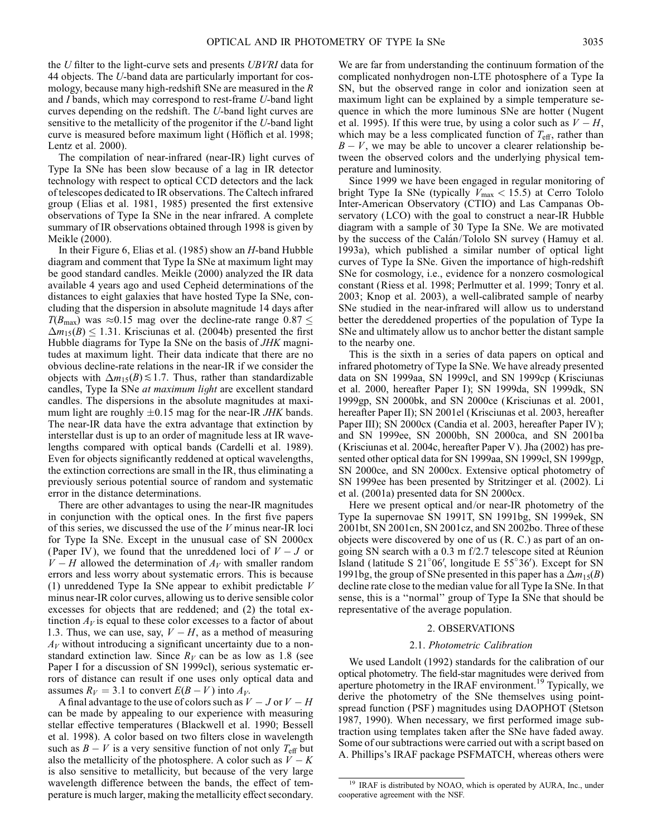the U filter to the light-curve sets and presents UBVRI data for 44 objects. The U-band data are particularly important for cosmology, because many high-redshift SNe are measured in the R and I bands, which may correspond to rest-frame U-band light curves depending on the redshift. The U-band light curves are sensitive to the metallicity of the progenitor if the U-band light curve is measured before maximum light (Höflich et al. 1998; Lentz et al. 2000).

The compilation of near-infrared (near-IR) light curves of Type Ia SNe has been slow because of a lag in IR detector technology with respect to optical CCD detectors and the lack of telescopes dedicated to IR observations. The Caltech infrared group (Elias et al. 1981, 1985) presented the first extensive observations of Type Ia SNe in the near infrared. A complete summary of IR observations obtained through 1998 is given by Meikle (2000).

In their Figure 6, Elias et al. (1985) show an  $H$ -band Hubble diagram and comment that Type Ia SNe at maximum light may be good standard candles. Meikle (2000) analyzed the IR data available 4 years ago and used Cepheid determinations of the distances to eight galaxies that have hosted Type Ia SNe, concluding that the dispersion in absolute magnitude 14 days after  $T(B_{\text{max}})$  was  $\approx 0.15$  mag over the decline-rate range  $0.87 \leq$  $\Delta m_{15}(B) \le 1.31$ . Krisciunas et al. (2004b) presented the first Hubble diagrams for Type Ia SNe on the basis of *JHK* magnitudes at maximum light. Their data indicate that there are no obvious decline-rate relations in the near-IR if we consider the objects with  $\Delta m_{15}(B) \lesssim 1.7$ . Thus, rather than standardizable candles, Type Ia SNe at maximum light are excellent standard candles. The dispersions in the absolute magnitudes at maximum light are roughly  $\pm 0.15$  mag for the near-IR JHK bands. The near-IR data have the extra advantage that extinction by interstellar dust is up to an order of magnitude less at IR wavelengths compared with optical bands (Cardelli et al. 1989). Even for objects significantly reddened at optical wavelengths, the extinction corrections are small in the IR, thus eliminating a previously serious potential source of random and systematic error in the distance determinations.

There are other advantages to using the near-IR magnitudes in conjunction with the optical ones. In the first five papers of this series, we discussed the use of the V minus near-IR loci for Type Ia SNe. Except in the unusual case of SN 2000cx (Paper IV), we found that the unreddened loci of  $V - J$  or  $V - H$  allowed the determination of  $A_V$  with smaller random errors and less worry about systematic errors. This is because (1) unreddened Type Ia SNe appear to exhibit predictable  $V$ minus near-IR color curves, allowing us to derive sensible color excesses for objects that are reddened; and (2) the total extinction  $A_V$  is equal to these color excesses to a factor of about 1.3. Thus, we can use, say,  $V - H$ , as a method of measuring  $A_V$  without introducing a significant uncertainty due to a nonstandard extinction law. Since  $R_V$  can be as low as 1.8 (see Paper I for a discussion of SN 1999cl), serious systematic errors of distance can result if one uses only optical data and assumes  $R_V = 3.1$  to convert  $E(B - V)$  into  $A_V$ .

A final advantage to the use of colors such as  $V - J$  or  $V - H$ can be made by appealing to our experience with measuring stellar effective temperatures (Blackwell et al. 1990; Bessell et al. 1998). A color based on two filters close in wavelength such as  $B - V$  is a very sensitive function of not only  $T_{\text{eff}}$  but also the metallicity of the photosphere. A color such as  $V - K$ is also sensitive to metallicity, but because of the very large wavelength difference between the bands, the effect of temperature is much larger, making the metallicity effect secondary. We are far from understanding the continuum formation of the complicated nonhydrogen non-LTE photosphere of a Type Ia SN, but the observed range in color and ionization seen at maximum light can be explained by a simple temperature sequence in which the more luminous SNe are hotter (Nugent et al. 1995). If this were true, by using a color such as  $V - H$ , which may be a less complicated function of  $T_{\text{eff}}$ , rather than  $B - V$ , we may be able to uncover a clearer relationship between the observed colors and the underlying physical temperature and luminosity.

Since 1999 we have been engaged in regular monitoring of bright Type Ia SNe (typically  $V_{\text{max}} < 15.5$ ) at Cerro Tololo Inter-American Observatory (CTIO) and Las Campanas Observatory (LCO) with the goal to construct a near-IR Hubble diagram with a sample of 30 Type Ia SNe. We are motivated by the success of the Calán/Tololo SN survey (Hamuy et al. 1993a), which published a similar number of optical light curves of Type Ia SNe. Given the importance of high-redshift SNe for cosmology, i.e., evidence for a nonzero cosmological constant (Riess et al. 1998; Perlmutter et al. 1999; Tonry et al. 2003; Knop et al. 2003), a well-calibrated sample of nearby SNe studied in the near-infrared will allow us to understand better the dereddened properties of the population of Type Ia SNe and ultimately allow us to anchor better the distant sample to the nearby one.

This is the sixth in a series of data papers on optical and infrared photometry of Type Ia SNe. We have already presented data on SN 1999aa, SN 1999cl, and SN 1999cp (Krisciunas et al. 2000, hereafter Paper I); SN 1999da, SN 1999dk, SN 1999gp, SN 2000bk, and SN 2000ce (Krisciunas et al. 2001, hereafter Paper II); SN 2001el (Krisciunas et al. 2003, hereafter Paper III); SN 2000cx (Candia et al. 2003, hereafter Paper IV); and SN 1999ee, SN 2000bh, SN 2000ca, and SN 2001ba (Krisciunas et al. 2004c, hereafter Paper V ). Jha (2002) has presented other optical data for SN 1999aa, SN 1999cl, SN 1999gp, SN 2000ce, and SN 2000cx. Extensive optical photometry of SN 1999ee has been presented by Stritzinger et al. (2002). Li et al. (2001a) presented data for SN 2000cx.

Here we present optical and/or near-IR photometry of the Type Ia supernovae SN 1991T, SN 1991bg, SN 1999ek, SN 2001bt, SN 2001cn, SN 2001cz, and SN 2002bo. Three of these objects were discovered by one of us (R. C.) as part of an ongoing SN search with a  $0.3$  m  $f/2.7$  telescope sited at Réunion Island (latitude S 21 $^{\circ}06'$ , longitude E 55 $^{\circ}36'$ ). Except for SN 1991bg, the group of SNe presented in this paper has a  $\Delta m_{15}(B)$ decline rate close to the median value for all Type Ia SNe. In that sense, this is a ''normal'' group of Type Ia SNe that should be representative of the average population.

### 2. OBSERVATIONS

## 2.1. Photometric Calibration

We used Landolt (1992) standards for the calibration of our optical photometry. The field-star magnitudes were derived from aperture photometry in the IRAF environment.<sup>19</sup> Typically, we derive the photometry of the SNe themselves using pointspread function ( PSF ) magnitudes using DAOPHOT (Stetson 1987, 1990). When necessary, we first performed image subtraction using templates taken after the SNe have faded away. Some of our subtractions were carried out with a script based on A. Phillips's IRAF package PSFMATCH, whereas others were

<sup>&</sup>lt;sup>19</sup> IRAF is distributed by NOAO, which is operated by AURA, Inc., under cooperative agreement with the NSF.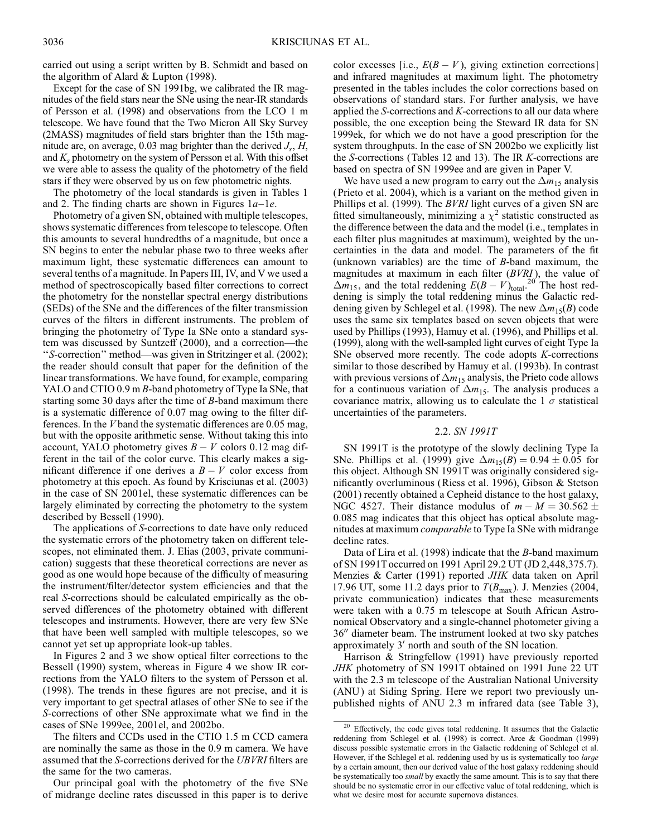carried out using a script written by B. Schmidt and based on the algorithm of Alard & Lupton (1998).

Except for the case of SN 1991bg, we calibrated the IR magnitudes of the field stars near the SNe using the near-IR standards of Persson et al. (1998) and observations from the LCO 1 m telescope. We have found that the Two Micron All Sky Survey (2MASS) magnitudes of field stars brighter than the 15th magnitude are, on average, 0.03 mag brighter than the derived  $J_s$ , H, and  $K_s$  photometry on the system of Persson et al. With this offset we were able to assess the quality of the photometry of the field stars if they were observed by us on few photometric nights.

The photometry of the local standards is given in Tables 1 and 2. The finding charts are shown in Figures  $1a-1e$ .

Photometry of a given SN, obtained with multiple telescopes, shows systematic differences from telescope to telescope. Often this amounts to several hundredths of a magnitude, but once a SN begins to enter the nebular phase two to three weeks after maximum light, these systematic differences can amount to several tenths of a magnitude. In Papers III, IV, and V we used a method of spectroscopically based filter corrections to correct the photometry for the nonstellar spectral energy distributions (SEDs) of the SNe and the differences of the filter transmission curves of the filters in different instruments. The problem of bringing the photometry of Type Ia SNe onto a standard system was discussed by Suntzeff (2000), and a correction—the ''S-correction'' method—was given in Stritzinger et al. (2002); the reader should consult that paper for the definition of the linear transformations. We have found, for example, comparing YALO and CTIO 0.9 m B-band photometry of Type Ia SNe, that starting some 30 days after the time of  $B$ -band maximum there is a systematic difference of 0.07 mag owing to the filter differences. In the V band the systematic differences are 0.05 mag, but with the opposite arithmetic sense. Without taking this into account, YALO photometry gives  $B - V$  colors 0.12 mag different in the tail of the color curve. This clearly makes a significant difference if one derives a  $B - V$  color excess from photometry at this epoch. As found by Krisciunas et al. (2003) in the case of SN 2001el, these systematic differences can be largely eliminated by correcting the photometry to the system described by Bessell (1990).

The applications of S-corrections to date have only reduced the systematic errors of the photometry taken on different telescopes, not eliminated them. J. Elias (2003, private communication) suggests that these theoretical corrections are never as good as one would hope because of the difficulty of measuring the instrument/filter/detector system efficiencies and that the real S-corrections should be calculated empirically as the observed differences of the photometry obtained with different telescopes and instruments. However, there are very few SNe that have been well sampled with multiple telescopes, so we cannot yet set up appropriate look-up tables.

In Figures 2 and 3 we show optical filter corrections to the Bessell (1990) system, whereas in Figure 4 we show IR corrections from the YALO filters to the system of Persson et al. (1998). The trends in these figures are not precise, and it is very important to get spectral atlases of other SNe to see if the S-corrections of other SNe approximate what we find in the cases of SNe 1999ee, 2001el, and 2002bo.

The filters and CCDs used in the CTIO 1.5 m CCD camera are nominally the same as those in the 0.9 m camera. We have assumed that the S-corrections derived for the UBVRI filters are the same for the two cameras.

Our principal goal with the photometry of the five SNe of midrange decline rates discussed in this paper is to derive

color excesses [i.e.,  $E(B - V)$ , giving extinction corrections] and infrared magnitudes at maximum light. The photometry presented in the tables includes the color corrections based on observations of standard stars. For further analysis, we have applied the S-corrections and K-corrections to all our data where possible, the one exception being the Steward IR data for SN 1999ek, for which we do not have a good prescription for the system throughputs. In the case of SN 2002bo we explicitly list the S-corrections (Tables 12 and 13). The IR K-corrections are based on spectra of SN 1999ee and are given in Paper V.

We have used a new program to carry out the  $\Delta m_{15}$  analysis (Prieto et al. 2004), which is a variant on the method given in Phillips et al. (1999). The *BVRI* light curves of a given SN are fitted simultaneously, minimizing a  $\chi^2$  statistic constructed as the difference between the data and the model (i.e., templates in each filter plus magnitudes at maximum), weighted by the uncertainties in the data and model. The parameters of the fit (unknown variables) are the time of B-band maximum, the magnitudes at maximum in each filter  $(BVRI)$ , the value of  $\Delta m_{15}$ , and the total reddening  $E(B - V)_{total}^{20}$ . The host reddening is simply the total reddening minus the Galactic reddening given by Schlegel et al. (1998). The new  $\Delta m_{15}(B)$  code uses the same six templates based on seven objects that were used by Phillips (1993), Hamuy et al. (1996), and Phillips et al. (1999), along with the well-sampled light curves of eight Type Ia SNe observed more recently. The code adopts K-corrections similar to those described by Hamuy et al. (1993b). In contrast with previous versions of  $\Delta m_{15}$  analysis, the Prieto code allows for a continuous variation of  $\Delta m_{15}$ . The analysis produces a covariance matrix, allowing us to calculate the  $1 \sigma$  statistical uncertainties of the parameters.

## 2.2. SN 1991T

SN 1991T is the prototype of the slowly declining Type Ia SNe. Phillips et al. (1999) give  $\Delta m_{15}(B) = 0.94 \pm 0.05$  for this object. Although SN 1991T was originally considered significantly overluminous (Riess et al. 1996), Gibson & Stetson (2001) recently obtained a Cepheid distance to the host galaxy, NGC 4527. Their distance modulus of  $m - M = 30.562 \pm$ 0:085 mag indicates that this object has optical absolute magnitudes at maximum comparable to Type Ia SNe with midrange decline rates.

Data of Lira et al. (1998) indicate that the B-band maximum of SN 1991T occurred on 1991 April 29.2 UT (JD 2,448,375.7). Menzies & Carter (1991) reported JHK data taken on April 17.96 UT, some 11.2 days prior to  $T(B_{\text{max}})$ . J. Menzies (2004, private communication) indicates that these measurements were taken with a 0.75 m telescope at South African Astronomical Observatory and a single-channel photometer giving a 36" diameter beam. The instrument looked at two sky patches approximately  $3'$  north and south of the SN location.

Harrison & Stringfellow (1991) have previously reported JHK photometry of SN 1991T obtained on 1991 June 22 UT with the 2.3 m telescope of the Australian National University (ANU) at Siding Spring. Here we report two previously unpublished nights of ANU 2.3 m infrared data (see Table 3),

<sup>&</sup>lt;sup>20</sup> Effectively, the code gives total reddening. It assumes that the Galactic reddening from Schlegel et al. (1998) is correct. Arce & Goodman (1999) discuss possible systematic errors in the Galactic reddening of Schlegel et al. However, if the Schlegel et al. reddening used by us is systematically too *large* by a certain amount, then our derived value of the host galaxy reddening should be systematically too small by exactly the same amount. This is to say that there should be no systematic error in our effective value of total reddening, which is what we desire most for accurate supernova distances.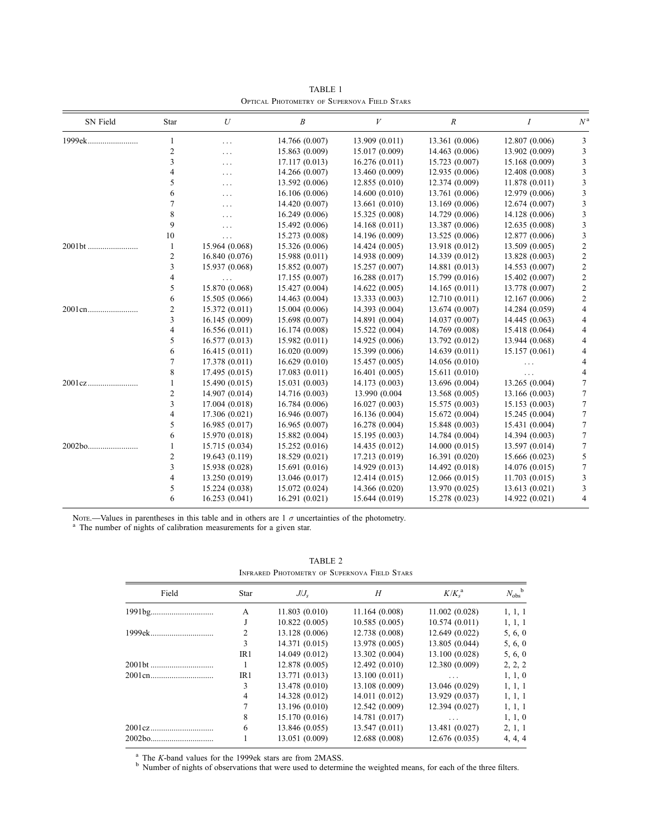| SN Field | Star           | $\boldsymbol{U}$ | $\boldsymbol{B}$ | V              | $\boldsymbol{R}$ | Ι              | $N^{\rm a}$    |
|----------|----------------|------------------|------------------|----------------|------------------|----------------|----------------|
| 1999ek   | 1              | $\cdots$         | 14.766 (0.007)   | 13.909 (0.011) | 13.361 (0.006)   | 12.807 (0.006) | 3              |
|          | 2              | $\cdots$         | 15.863 (0.009)   | 15.017 (0.009) | 14.463 (0.006)   | 13.902 (0.009) | 3              |
|          | 3              | $\cdots$         | 17.117 (0.013)   | 16.276(0.011)  | 15.723 (0.007)   | 15.168 (0.009) | 3              |
|          | 4              | $\cdots$         | 14.266 (0.007)   | 13.460 (0.009) | 12.935 (0.006)   | 12.408 (0.008) | 3              |
|          | 5              | $\cdots$         | 13.592 (0.006)   | 12.855(0.010)  | 12.374 (0.009)   | 11.878(0.011)  | 3              |
|          | 6              | $\cdots$         | 16.106 (0.006)   | 14.600(0.010)  | 13.761 (0.006)   | 12.979 (0.006) | 3              |
|          |                | $\cdots$         | 14.420 (0.007)   | 13.661 (0.010) | 13.169 (0.006)   | 12.674(0.007)  | 3              |
|          | 8              | $\cdots$         | 16.249(0.006)    | 15.325 (0.008) | 14.729 (0.006)   | 14.128 (0.006) | 3              |
|          | 9              | $\cdots$         | 15.492 (0.006)   | 14.168(0.011)  | 13.387 (0.006)   | 12.635 (0.008) | 3              |
|          | 10             | $\cdots$         | 15.273 (0.008)   | 14.196 (0.009) | 13.525 (0.006)   | 12.877 (0.006) | 3              |
| 2001bt   | 1              | 15.964 (0.068)   | 15.326 (0.006)   | 14.424 (0.005) | 13.918 (0.012)   | 13.509 (0.005) | $\overline{2}$ |
|          | $\overline{c}$ | 16.840 (0.076)   | 15.988 (0.011)   | 14.938 (0.009) | 14.339 (0.012)   | 13.828 (0.003) | $\overline{c}$ |
|          | 3              | 15.937 (0.068)   | 15.852 (0.007)   | 15.257 (0.007) | 14.881 (0.013)   | 14.553 (0.007) | 2              |
|          | 4              | $\cdots$         | 17.155 (0.007)   | 16.288(0.017)  | 15.799 (0.016)   | 15.402 (0.007) | $\overline{c}$ |
|          | 5              | 15.870 (0.068)   | 15.427 (0.004)   | 14.622 (0.005) | 14.165(0.011)    | 13.778 (0.007) | $\overline{c}$ |
|          | 6              | 15.505 (0.066)   | 14.463 (0.004)   | 13.333(0.003)  | 12.710(0.011)    | 12.167 (0.006) | 2              |
| 2001cn   | 2              | 15.372 (0.011)   | 15.004 (0.006)   | 14.393 (0.004) | 13.674 (0.007)   | 14.284 (0.059) | 4              |
|          | 3              | 16.145 (0.009)   | 15.698 (0.007)   | 14.891 (0.004) | 14.037 (0.007)   | 14.445 (0.063) | 4              |
|          | 4              | 16.556(0.011)    | 16.174 (0.008)   | 15.522 (0.004) | 14.769 (0.008)   | 15.418 (0.064) | 4              |
|          | 5              | 16.577 (0.013)   | 15.982(0.011)    | 14.925 (0.006) | 13.792 (0.012)   | 13.944 (0.068) | 4              |
|          | 6              | 16.415(0.011)    | 16.020 (0.009)   | 15.399 (0.006) | 14.639 (0.011)   | 15.157 (0.061) | 4              |
|          | 7              | 17.378 (0.011)   | 16.629(0.010)    | 15.457 (0.005) | 14.056 (0.010)   | $\cdots$       | 4              |
|          | 8              | 17.495(0.015)    | 17.083(0.011)    | 16.401(0.005)  | 15.611 (0.010)   | $\cdots$       | 4              |
|          | 1              | 15.490 (0.015)   | 15.031 (0.003)   | 14.173 (0.003) | 13.696 (0.004)   | 13.265 (0.004) | 7              |
|          | 2              | 14.907 (0.014)   | 14.716 (0.003)   | 13.990 (0.004  | 13.568 (0.005)   | 13.166 (0.003) | 7              |
|          | 3              | 17.004 (0.018)   | 16.784 (0.006)   | 16.027(0.003)  | 15.575 (0.003)   | 15.153(0.003)  | 7              |
|          | 4              | 17.306 (0.021)   | 16.946 (0.007)   | 16.136(0.004)  | 15.672 (0.004)   | 15.245 (0.004) | 7              |
|          | 5              | 16.985(0.017)    | 16.965(0.007)    | 16.278 (0.004) | 15.848 (0.003)   | 15.431 (0.004) | 7              |
|          | 6              | 15.970 (0.018)   | 15.882 (0.004)   | 15.195(0.003)  | 14.784 (0.004)   | 14.394 (0.003) | 7              |
| 2002bo   |                | 15.715 (0.034)   | 15.252 (0.016)   | 14.435 (0.012) | 14.000(0.015)    | 13.597 (0.014) | 7              |
|          | 2              | 19.643 (0.119)   | 18.529 (0.021)   | 17.213 (0.019) | 16.391 (0.020)   | 15.666 (0.023) | 5              |
|          | 3              | 15.938 (0.028)   | 15.691 (0.016)   | 14.929 (0.013) | 14.492 (0.018)   | 14.076 (0.015) | 7              |
|          | 4              | 13.250 (0.019)   | 13.046 (0.017)   | 12.414(0.015)  | 12.066 (0.015)   | 11.703 (0.015) | 3              |
|          | 5              | 15.224 (0.038)   | 15.072 (0.024)   | 14.366 (0.020) | 13.970 (0.025)   | 13.613 (0.021) | 3              |
|          | 6              | 16.253(0.041)    | 16.291(0.021)    | 15.644 (0.019) | 15.278 (0.023)   | 14.922 (0.021) | $\overline{4}$ |

TABLE 1 Optical Photometry of Supernova Field Stars

Nore.—Values in parentheses in this table and in others are  $1 \sigma$  uncertainties of the photometry.<br><sup>a</sup> The number of nights of calibration measurements for a given star.

| Field  | <b>Star</b>    | $J/J_s$        | H              | $K/K_{s}^{a}$  | $N_{\rm obs}^{\quad \, b}$ |
|--------|----------------|----------------|----------------|----------------|----------------------------|
|        | A              | 11.803(0.010)  | 11.164 (0.008) | 11.002(0.028)  | 1, 1, 1                    |
|        | J              | 10.822(0.005)  | 10.585(0.005)  | 10.574(0.011)  | 1, 1, 1                    |
|        | $\overline{c}$ | 13.128 (0.006) | 12.738 (0.008) | 12.649 (0.022) | 5, 6, 0                    |
|        | 3              | 14.371 (0.015) | 13.978 (0.005) | 13.805 (0.044) | 5, 6, 0                    |
|        | IR1            | 14.049 (0.012) | 13.302 (0.004) | 13.100 (0.028) | 5, 6, 0                    |
| 2001bt |                | 12.878 (0.005) | 12.492 (0.010) | 12.380 (0.009) | 2, 2, 2                    |
|        | IR1            | 13.771 (0.013) | 13.100 (0.011) | $\ddots$       | 1, 1, 0                    |
|        | 3              | 13.478 (0.010) | 13.108 (0.009) | 13.046 (0.029) | 1, 1, 1                    |
|        | $\overline{4}$ | 14.328 (0.012) | 14.011 (0.012) | 13.929 (0.037) | 1, 1, 1                    |
|        | 7              | 13.196 (0.010) | 12.542 (0.009) | 12.394 (0.027) | 1, 1, 1                    |
|        | 8              | 15.170 (0.016) | 14.781 (0.017) | $\cdots$       | 1, 1, 0                    |
|        | 6              | 13.846 (0.055) | 13.547 (0.011) | 13.481 (0.027) | 2, 1, 1                    |
|        |                | 13.051 (0.009) | 12.688 (0.008) | 12.676 (0.035) | 4, 4, 4                    |

TABLE 2 Infrared Photometry of Supernova Field Stars

<sup>a</sup> The K-band values for the 1999ek stars are from 2MASS.<br><sup>b</sup> Number of nights of observations that were used to determine the weighted means, for each of the three filters.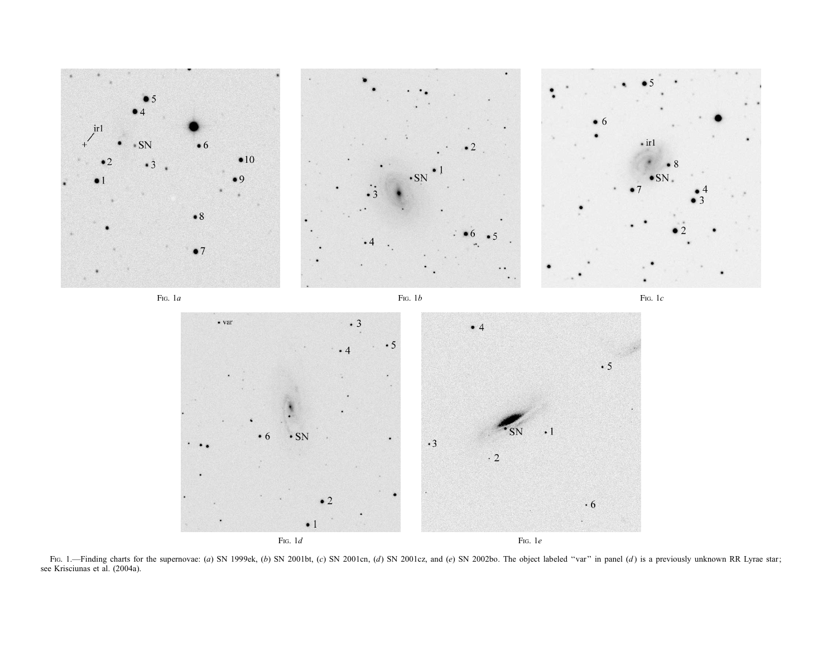

Fig. 1.—Finding charts for the supernovae: (a) SN 1999ek, (b) SN 2001bt, (c) SN 2001cn, (d) SN 2001cz, and (e) SN 2002bo. The object labeled "var" in panel (d) is a previously unknown RR Lyrae star; see Krisciunas et al. (2004a).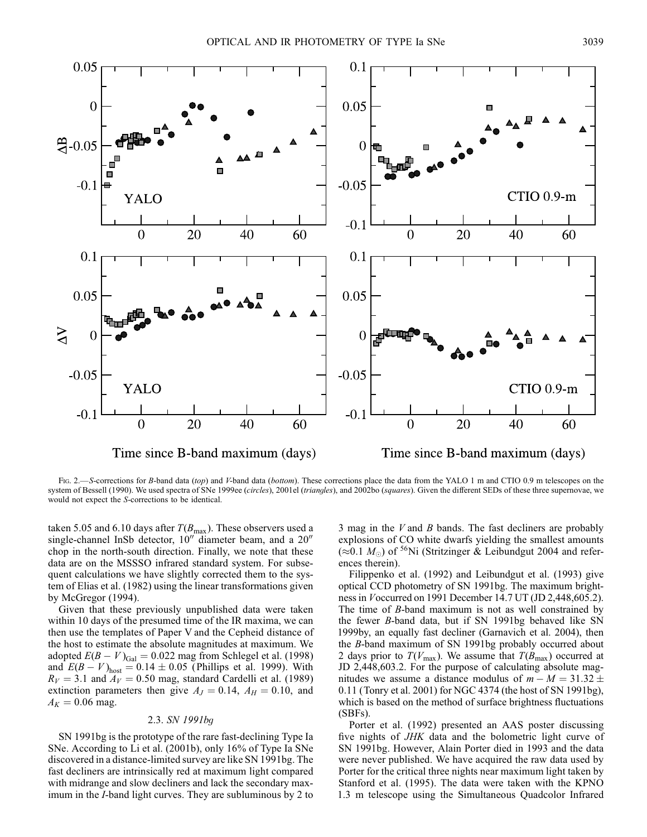

Fig. 2.—S-corrections for B-band data (top) and V-band data (bottom). These corrections place the data from the YALO 1 m and CTIO 0.9 m telescopes on the system of Bessell (1990). We used spectra of SNe 1999ee (circles), 2001el (triangles), and 2002bo (squares). Given the different SEDs of these three supernovae, we would not expect the S-corrections to be identical.

taken 5.05 and 6.10 days after  $T(B_{\text{max}})$ . These observers used a single-channel InSb detector,  $10^{\prime\prime}$  diameter beam, and a  $20^{\prime\prime}$ chop in the north-south direction. Finally, we note that these data are on the MSSSO infrared standard system. For subsequent calculations we have slightly corrected them to the system of Elias et al. (1982) using the linear transformations given by McGregor (1994).

Given that these previously unpublished data were taken within 10 days of the presumed time of the IR maxima, we can then use the templates of Paper V and the Cepheid distance of the host to estimate the absolute magnitudes at maximum. We adopted  $E(B - V)_{Gal} = 0.022$  mag from Schlegel et al. (1998) and  $E(B - V)_{\text{host}} = 0.14 \pm 0.05$  (Phillips et al. 1999). With  $R_V = 3.1$  and  $A_V = 0.50$  mag, standard Cardelli et al. (1989) extinction parameters then give  $A_J = 0.14$ ,  $A_H = 0.10$ , and  $A_K = 0.06$  mag.

## 2.3. SN 1991bg

SN 1991bg is the prototype of the rare fast-declining Type Ia SNe. According to Li et al. (2001b), only 16% of Type Ia SNe discovered in a distance-limited survey are like SN 1991bg. The fast decliners are intrinsically red at maximum light compared with midrange and slow decliners and lack the secondary maximum in the I-band light curves. They are subluminous by 2 to 3 mag in the  $V$  and  $B$  bands. The fast decliners are probably explosions of CO white dwarfs yielding the smallest amounts  $(\approx 0.1 M_{\odot})$  of <sup>56</sup>Ni (Stritzinger & Leibundgut 2004 and references therein).

Filippenko et al. (1992) and Leibundgut et al. (1993) give optical CCD photometry of SN 1991bg. The maximum brightness in Voccurred on 1991 December 14.7 UT (JD 2,448,605.2). The time of  $B$ -band maximum is not as well constrained by the fewer B-band data, but if SN 1991bg behaved like SN 1999by, an equally fast decliner (Garnavich et al. 2004), then the B-band maximum of SN 1991bg probably occurred about 2 days prior to  $T(V_{\text{max}})$ . We assume that  $T(B_{\text{max}})$  occurred at JD 2,448,603.2. For the purpose of calculating absolute magnitudes we assume a distance modulus of  $m - M = 31.32 \pm$ 0:11 (Tonry et al. 2001) for NGC 4374 (the host of SN 1991bg), which is based on the method of surface brightness fluctuations (SBFs).

Porter et al. (1992) presented an AAS poster discussing five nights of JHK data and the bolometric light curve of SN 1991bg. However, Alain Porter died in 1993 and the data were never published. We have acquired the raw data used by Porter for the critical three nights near maximum light taken by Stanford et al. (1995). The data were taken with the KPNO 1.3 m telescope using the Simultaneous Quadcolor Infrared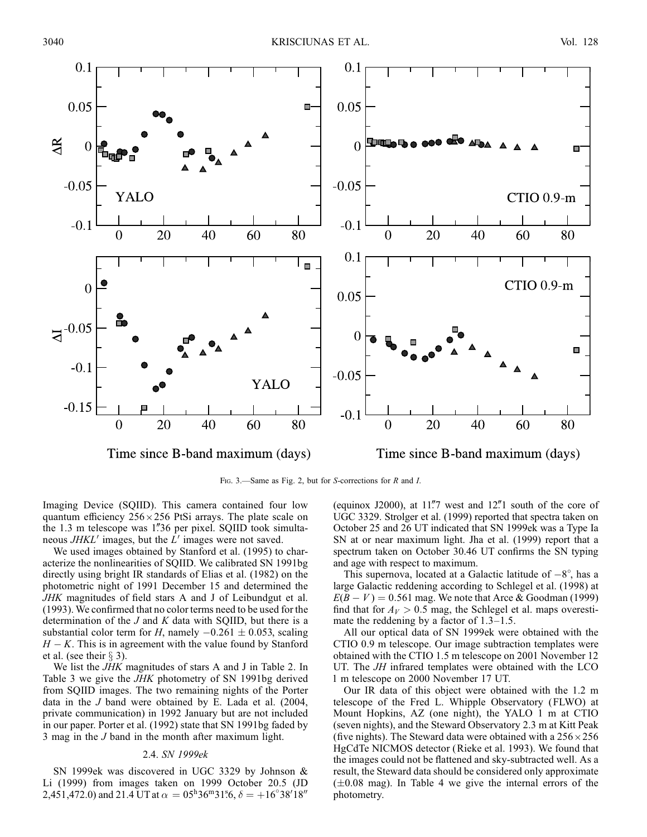

Fig. 3.—Same as Fig. 2, but for S-corrections for R and I.

Imaging Device (SQIID). This camera contained four low quantum efficiency  $256 \times 256$  PtSi arrays. The plate scale on the 1.3 m telescope was 1"36 per pixel. SQIID took simultaneous  $JHKL'$  images, but the  $L'$  images were not saved.

We used images obtained by Stanford et al. (1995) to characterize the nonlinearities of SQIID. We calibrated SN 1991bg directly using bright IR standards of Elias et al. (1982) on the photometric night of 1991 December 15 and determined the JHK magnitudes of field stars A and J of Leibundgut et al. (1993). We confirmed that no color terms need to be used for the determination of the  $J$  and  $K$  data with SQIID, but there is a substantial color term for H, namely  $-0.261 \pm 0.053$ , scaling  $H - K$ . This is in agreement with the value found by Stanford et al. (see their  $\S$  3).

We list the JHK magnitudes of stars A and J in Table 2. In Table 3 we give the JHK photometry of SN 1991bg derived from SQIID images. The two remaining nights of the Porter data in the  $J$  band were obtained by E. Lada et al. (2004, private communication) in 1992 January but are not included in our paper. Porter et al. (1992) state that SN 1991bg faded by 3 mag in the J band in the month after maximum light.

## 2.4. SN 1999ek

SN 1999ek was discovered in UGC 3329 by Johnson & Li (1999) from images taken on 1999 October 20.5 (JD 2,451,472.0) and 21.4 UT at  $\alpha = 0.5^{\circ}36^{\circ}31^{\circ}6$ ,  $\delta = +16^{\circ}38'18''$ 

(equinox J2000), at  $11\rlap{.}''7$  west and  $12\rlap{.}''1$  south of the core of UGC 3329. Strolger et al. (1999) reported that spectra taken on October 25 and 26 UT indicated that SN 1999ek was a Type Ia SN at or near maximum light. Jha et al. (1999) report that a spectrum taken on October 30.46 UT confirms the SN typing and age with respect to maximum.

This supernova, located at a Galactic latitude of  $-8^\circ$ , has a large Galactic reddening according to Schlegel et al. (1998) at  $E(B - V) = 0.561$  mag. We note that Arce & Goodman (1999) find that for  $A_V > 0.5$  mag, the Schlegel et al. maps overestimate the reddening by a factor of 1.3–1.5.

All our optical data of SN 1999ek were obtained with the CTIO 0.9 m telescope. Our image subtraction templates were obtained with the CTIO 1.5 m telescope on 2001 November 12 UT. The JH infrared templates were obtained with the LCO 1 m telescope on 2000 November 17 UT.

Our IR data of this object were obtained with the 1.2 m telescope of the Fred L. Whipple Observatory (FLWO) at Mount Hopkins, AZ (one night), the YALO 1 m at CTIO (seven nights), and the Steward Observatory 2.3 m at Kitt Peak (five nights). The Steward data were obtained with a  $256 \times 256$ HgCdTe NICMOS detector (Rieke et al. 1993). We found that the images could not be flattened and sky-subtracted well. As a result, the Steward data should be considered only approximate  $(\pm 0.08 \text{ mag})$ . In Table 4 we give the internal errors of the photometry.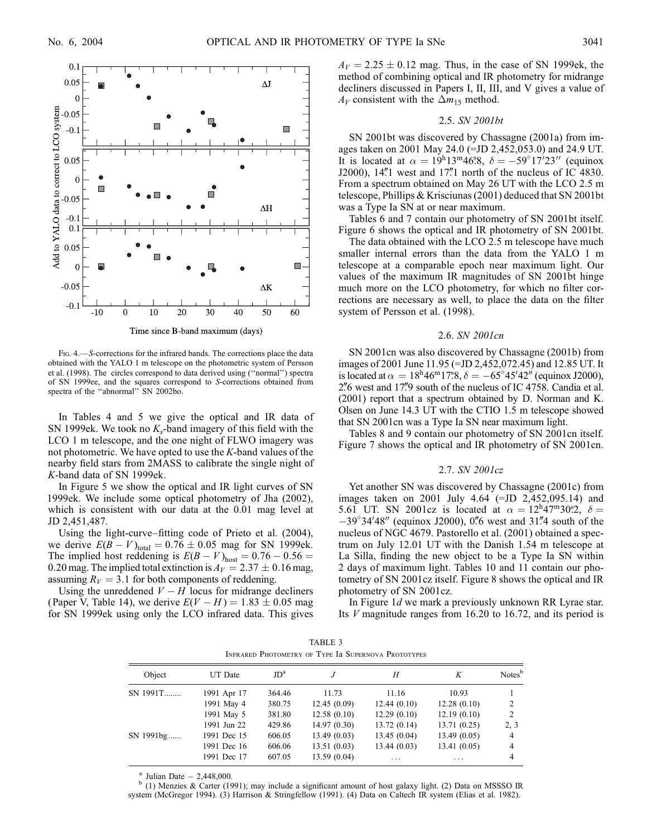

Time since B-band maximum (days)

FIG. 4.—S-corrections for the infrared bands. The corrections place the data obtained with the YALO 1 m telescope on the photometric system of Persson et al. (1998). The circles correspond to data derived using (''normal'') spectra of SN 1999ee, and the squares correspond to S-corrections obtained from spectra of the ''abnormal'' SN 2002bo.

In Tables 4 and 5 we give the optical and IR data of SN 1999ek. We took no  $K_s$ -band imagery of this field with the LCO 1 m telescope, and the one night of FLWO imagery was not photometric. We have opted to use the K-band values of the nearby field stars from 2MASS to calibrate the single night of K-band data of SN 1999ek.

In Figure 5 we show the optical and IR light curves of SN 1999ek. We include some optical photometry of Jha (2002), which is consistent with our data at the 0.01 mag level at JD 2,451,487.

Using the light-curve–fitting code of Prieto et al. (2004), we derive  $E(B - V)_{total} = 0.76 \pm 0.05$  mag for SN 1999ek. The implied host reddening is  $E(B - V)_{\text{host}} = 0.76 - 0.56 =$ 0.20 mag. The implied total extinction is  $A_V = 2.37 \pm 0.16$  mag, assuming  $R_V = 3.1$  for both components of reddening.

Using the unreddened  $V - H$  locus for midrange decliners (Paper V, Table 14), we derive  $E(V - H) = 1.83 \pm 0.05$  mag for SN 1999ek using only the LCO infrared data. This gives  $A_V = 2.25 \pm 0.12$  mag. Thus, in the case of SN 1999ek, the method of combining optical and IR photometry for midrange decliners discussed in Papers I, II, III, and V gives a value of  $A_V$  consistent with the  $\Delta m_{15}$  method.

#### 2.5. SN 2001bt

SN 2001bt was discovered by Chassagne (2001a) from images taken on 2001 May 24.0 (=JD 2,452,053.0) and 24.9 UT. It is located at  $\alpha = 19h13m46s8$ ,  $\delta = -59°17'23''$  (equinox J2000),  $14\rlap{.}''1$  west and  $17\rlap{.}''1$  north of the nucleus of IC 4830. From a spectrum obtained on May 26 UT with the LCO 2.5 m telescope, Phillips & Krisciunas (2001) deduced that SN 2001bt was a Type Ia SN at or near maximum.

Tables 6 and 7 contain our photometry of SN 2001bt itself. Figure 6 shows the optical and IR photometry of SN 2001bt.

The data obtained with the LCO 2.5 m telescope have much smaller internal errors than the data from the YALO 1 m telescope at a comparable epoch near maximum light. Our values of the maximum IR magnitudes of SN 2001bt hinge much more on the LCO photometry, for which no filter corrections are necessary as well, to place the data on the filter system of Persson et al. (1998).

#### 2.6. SN 2001cn

SN 2001cn was also discovered by Chassagne (2001b) from images of 2001 June 11.95 (=JD 2,452,072.45) and 12.85 UT. It is located at  $\alpha = 18^{\text{h}} 46^{\text{m}} 17^{\text{s}} 8$ ,  $\delta = -65^{\circ} 45' 42''$  (equinox J2000),  $2\%$  west and 17. south of the nucleus of IC 4758. Candia et al. (2001) report that a spectrum obtained by D. Norman and K. Olsen on June 14.3 UT with the CTIO 1.5 m telescope showed that SN 2001cn was a Type Ia SN near maximum light.

Tables 8 and 9 contain our photometry of SN 2001cn itself. Figure 7 shows the optical and IR photometry of SN 2001cn.

### 2.7. SN 2001cz

Yet another SN was discovered by Chassagne (2001c) from images taken on 2001 July 4.64 (=JD 2,452,095.14) and 5.61 UT. SN 2001cz is located at  $\alpha = 12^{\text{h}}47^{\text{m}}30^{\text{s}}2$ ,  $\delta =$  $-39^{\circ}34'48''$  (equinox J2000), 0.76 west and 31.74 south of the nucleus of NGC 4679. Pastorello et al. (2001) obtained a spectrum on July 12.01 UT with the Danish 1.54 m telescope at La Silla, finding the new object to be a Type Ia SN within 2 days of maximum light. Tables 10 and 11 contain our photometry of SN 2001cz itself. Figure 8 shows the optical and IR photometry of SN 2001cz.

In Figure 1d we mark a previously unknown RR Lyrae star. Its V magnitude ranges from 16.20 to 16.72, and its period is

|  |                                                     | TABLE 3 |  |
|--|-----------------------------------------------------|---------|--|
|  | INFRARED PHOTOMETRY OF TYPE Ia SUPERNOVA PROTOTYPES |         |  |

| Object    | UT Date     | JD <sup>a</sup> |             | Н           | К           | Notes <sup>b</sup> |
|-----------|-------------|-----------------|-------------|-------------|-------------|--------------------|
| SN 1991T  | 1991 Apr 17 | 364.46          | 11.73       | 11.16       | 10.93       |                    |
|           | 1991 May 4  | 380.75          | 12.45(0.09) | 12.44(0.10) | 12.28(0.10) | 2                  |
|           | 1991 May 5  | 381.80          | 12.58(0.10) | 12.29(0.10) | 12.19(0.10) | 2                  |
|           | 1991 Jun 22 | 429.86          | 14.97(0.30) | 13.72(0.14) | 13.71(0.25) | 2, 3               |
| SN 1991bg | 1991 Dec 15 | 606.05          | 13.49(0.03) | 13.45(0.04) | 13.49(0.05) | 4                  |
|           | 1991 Dec 16 | 606.06          | 13.51(0.03) | 13.44(0.03) | 13.41(0.05) | $\overline{4}$     |
|           | 1991 Dec 17 | 607.05          | 13.59(0.04) | .           | .           | 4                  |
|           |             |                 |             |             |             |                    |

<sup>a</sup> Julian Date  $-$  2,448,000.<br><sup>b</sup> (1) Menzies & Carter (1991); may include a significant amount of host galaxy light. (2) Data on MSSSO IR system (McGregor 1994). (3) Harrison & Stringfellow (1991). (4) Data on Caltech IR system (Elias et al. 1982).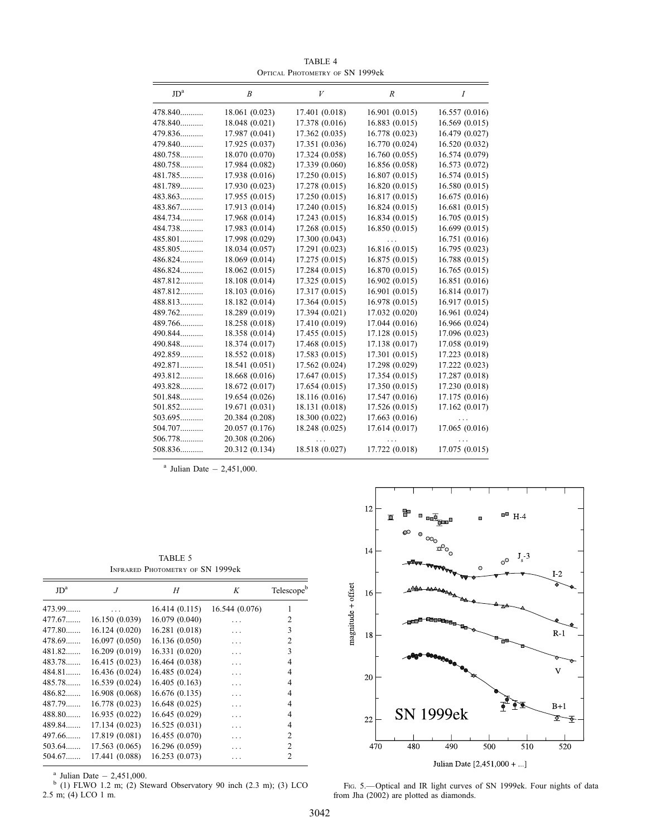| JD <sup>a</sup> | B              | V              | R              | $\boldsymbol{I}$ |
|-----------------|----------------|----------------|----------------|------------------|
| 478.840         | 18.061 (0.023) | 17.401 (0.018) | 16.901(0.015)  | 16.557(0.016)    |
| 478.840         | 18.048 (0.021) | 17.378 (0.016) | 16.883(0.015)  | 16.569(0.015)    |
| 479.836         | 17.987 (0.041) | 17.362 (0.035) | 16.778 (0.023) | 16.479 (0.027)   |
| 479.840         | 17.925 (0.037) | 17.351 (0.036) | 16.770 (0.024) | 16.520 (0.032)   |
| 480.758         | 18.070 (0.070) | 17.324 (0.058) | 16.760(0.055)  | 16.574 (0.079)   |
| 480.758         | 17.984 (0.082) | 17.339 (0.060) | 16.856 (0.058) | 16.573 (0.072)   |
| 481.785         | 17.938 (0.016) | 17.250 (0.015) | 16.807(0.015)  | 16.574(0.015)    |
| 481.789         | 17.930 (0.023) | 17.278 (0.015) | 16.820(0.015)  | 16.580 (0.015)   |
| 483.863         | 17.955 (0.015) | 17.250 (0.015) | 16.817 (0.015) | 16.675 (0.016)   |
| 483.867         | 17.913 (0.014) | 17.240 (0.015) | 16.824(0.015)  | 16.681(0.015)    |
| 484.734         | 17.968 (0.014) | 17.243 (0.015) | 16.834(0.015)  | 16.705(0.015)    |
| 484.738         | 17.983 (0.014) | 17.268 (0.015) | 16.850(0.015)  | 16.699(0.015)    |
| 485.801         | 17.998 (0.029) | 17.300 (0.043) |                | 16.751 (0.016)   |
| 485.805         | 18.034 (0.057) | 17.291 (0.023) | 16.816(0.015)  | 16.795 (0.023)   |
| 486.824         | 18.069 (0.014) | 17.275 (0.015) | 16.875(0.015)  | 16.788 (0.015)   |
| 486.824         | 18.062 (0.015) | 17.284 (0.015) | 16.870 (0.015) | 16.765(0.015)    |
| 487.812         | 18.108 (0.014) | 17.325 (0.015) | 16.902 (0.015) | 16.851 (0.016)   |
| 487.812         | 18.103 (0.016) | 17.317 (0.015) | 16.901(0.015)  | 16.814 (0.017)   |
| 488.813         | 18.182 (0.014) | 17.364 (0.015) | 16.978 (0.015) | 16.917 (0.015)   |
| 489.762         | 18.289 (0.019) | 17.394 (0.021) | 17.032 (0.020) | 16.961 (0.024)   |
| 489.766         | 18.258 (0.018) | 17.410 (0.019) | 17.044 (0.016) | 16.966 (0.024)   |
| 490.844         | 18.358 (0.014) | 17.455 (0.015) | 17.128 (0.015) | 17.096 (0.023)   |
| 490.848         | 18.374 (0.017) | 17.468 (0.015) | 17.138 (0.017) | 17.058 (0.019)   |
| 492.859         | 18.552 (0.018) | 17.583 (0.015) | 17.301 (0.015) | 17.223 (0.018)   |
| 492.871         | 18.541 (0.051) | 17.562 (0.024) | 17.298 (0.029) | 17.222 (0.023)   |
| 493.812         | 18.668 (0.016) | 17.647 (0.015) | 17.354 (0.015) | 17.287 (0.018)   |
| 493.828         | 18.672 (0.017) | 17.654 (0.015) | 17.350 (0.015) | 17.230 (0.018)   |
| 501.848         | 19.654 (0.026) | 18.116 (0.016) | 17.547 (0.016) | 17.175 (0.016)   |
| 501.852         | 19.671 (0.031) | 18.131 (0.018) | 17.526 (0.015) | 17.162 (0.017)   |
| 503.695         | 20.384 (0.208) | 18.300 (0.022) | 17.663(0.016)  |                  |
| 504.707         | 20.057 (0.176) | 18.248 (0.025) | 17.614 (0.017) | 17.065 (0.016)   |
| 506.778         | 20.308 (0.206) |                |                |                  |
| 508.836         | 20.312 (0.134) | 18.518 (0.027) | 17.722 (0.018) | 17.075 (0.015)   |

TABLE 4 Optical Photometry of SN 1999ek

 $a$  Julian Date  $-2,451,000$ .

TABLE 5 Infrared Photometry of SN 1999ek

| JD <sup>a</sup> | .J             | H              | K              | Telescopeb     |
|-----------------|----------------|----------------|----------------|----------------|
| 473.99          |                | 16.414(0.115)  | 16.544 (0.076) | 1              |
| 477.67          | 16.150(0.039)  | 16.079 (0.040) |                | 2              |
| 477.80          | 16.124(0.020)  | 16.281 (0.018) | .              | 3              |
| 478.69          | 16.097(0.050)  | 16.136 (0.050) | .              | $\overline{c}$ |
| 481.82          | 16.209(0.019)  | 16.331 (0.020) | .              | 3              |
| 483.78          | 16.415(0.023)  | 16.464 (0.038) | .              | 4              |
| 484.81          | 16.436(0.024)  | 16.485 (0.024) | .              | 4              |
| 485.78          | 16.539(0.024)  | 16.405(0.163)  | .              | 4              |
| 486.82          | 16.908 (0.068) | 16.676(0.135)  | .              | 4              |
| 487.79          | 16.778 (0.023) | 16.648 (0.025) | .              | 4              |
| 488.80          | 16.935(0.022)  | 16.645 (0.029) | .              | 4              |
| 489.84          | 17.134 (0.023) | 16.525(0.031)  | .              | 4              |
| 497.66          | 17.819 (0.081) | 16.455 (0.070) | .              | 2              |
| 503.64          | 17.563(0.065)  | 16.296 (0.059) | .              | $\mathcal{L}$  |
| 504.67          | 17.441 (0.088) | 16.253(0.073)  | .              | $\overline{c}$ |

<sup>a</sup> Julian Date  $- 2,451,000$ .<br>
<sup>b</sup> (1) FLWO 1.2 m; (2) Steward Observatory 90 inch (2.3 m); (3) LCO 2.5 m; (4) LCO 1 m.



FIG. 5.—Optical and IR light curves of SN 1999ek. Four nights of data from Jha (2002) are plotted as diamonds.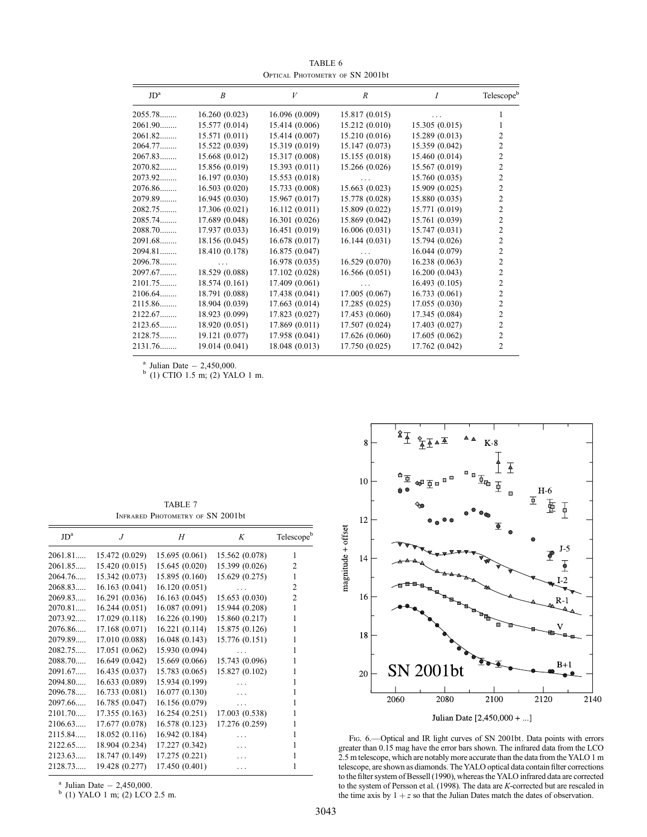$JD^a$   $B$   $V$   $R$   $I$  Telescope<sup>b</sup> 2055.78........ 16.260 (0.023) 16.096 (0.009) 15.817 (0.015) ... 1 2061.90........ 15.577 (0.014) 15.414 (0.006) 15.212 (0.010) 15.305 (0.015) 1 2061.82........ 15.571 (0.011) 15.414 (0.007) 15.210 (0.016) 15.289 (0.013) 2<br>2064.77........ 15.522 (0.039) 15.319 (0.019) 15.147 (0.073) 15.359 (0.042) 2 15.522 (0.039) 15.319 (0.019) 15.147 (0.073) 15.359 (0.042) 2<br>15.668 (0.012) 15.317 (0.008) 15.155 (0.018) 15.460 (0.014) 2 2067.83........ 15.668 (0.012) 15.317 (0.008) 15.155 (0.018) 15.460 (0.014) 2070.82........ 15.856 (0.019) 15.393 (0.011) 15.266 (0.026) 15.567 (0.019) 2 2073.92......... 16.197 (0.030) 15.553 (0.018) ... 15.760 (0.035) 2<br>2076.86........ 16.503 (0.020) 15.733 (0.008) 15.663 (0.023) 15.909 (0.025) 2 2076.86........ 16.503 (0.020) 15.733 (0.008) 15.663 (0.023) 15.909 (0.025) 2<br>2079.89........ 16.945 (0.030) 15.967 (0.017) 15.778 (0.028) 15.880 (0.035) 2 2079.89........ 16.945 (0.030) 15.967 (0.017) 15.778 (0.028) 15.880 (0.035) 2 2082.75........ 17.306 (0.021) 16.112 (0.011) 15.809 (0.022) 15.771 (0.019) 2<br>2085.74........ 17.689 (0.048) 16.301 (0.026) 15.869 (0.042) 15.761 (0.039) 2 2085.74........ 17.689 (0.048) 16.301 (0.026) 15.869 (0.042) 15.761 (0.039) 2<br>2088.70....... 17.937 (0.033) 16.451 (0.019) 16.006 (0.031) 15.747 (0.031) 2 2088.70........ 17.937 (0.033) 16.451 (0.019) 16.006 (0.031) 15.747 (0.031)<br>2091.68........ 18.156 (0.045) 16.678 (0.017) 16.144 (0.031) 15.794 (0.026) 18.156 (0.045) 16.678 (0.017) 16.144 (0.031) 15.794 (0.026) 2<br>18.410 (0.178) 16.875 (0.047) ... 16.044 (0.079) 2 2094.81........ 18.410 (0.178) 16.875 (0.047) ... 16.044 (0.079) 2<br>2096.78........ ... 16.978 (0.035) 16.529 (0.070) 16.238 (0.063) 2 2096.78........ 16.978 (0.035) 16.529 (0.070) 16.238 (0.063) 2<br>2097.67........ 18.529 (0.088) 17.102 (0.028) 16.566 (0.051) 16.200 (0.043) 2 2097.67........ 18.529 (0.088) 17.102 (0.028) 16.566 (0.051) 16.200 (0.043) 2<br>2101.75........ 18.574 (0.161) 17.409 (0.061) ... 16.493 (0.105) 2 2101.75......... 18.574 (0.161) 17.409 (0.061) ... 16.493 (0.105) 2<br>2106.64........ 18.791 (0.088) 17.438 (0.041) 17.005 (0.067) 16.733 (0.061) 2 2106.64........ 18.791 (0.088) 17.438 (0.041) 17.005 (0.067) 16.733 (0.061) 2<br>2115.86........ 18.904 (0.039) 17.663 (0.014) 17.285 (0.025) 17.055 (0.030) 2 2115.86........ 18.904 (0.039) 17.663 (0.014) 17.285 (0.025) 17.055 (0.030) 2<br>2122.67........ 18.923 (0.099) 17.823 (0.027) 17.453 (0.060) 17.345 (0.084) 2 2122.67........ 18.923 (0.099) 17.823 (0.027) 17.453 (0.060) 17.345 (0.084) 2<br>2123.65........ 18.920 (0.051) 17.869 (0.011) 17.507 (0.024) 17.403 (0.027) 2 2123.65......... 18.920 (0.051) 17.869 (0.011) 17.507 (0.024) 17.403 (0.027) 2<br>2128.75........ 19.121 (0.077) 17.958 (0.041) 17.626 (0.060) 17.605 (0.062) 2 2128.75........ 19.121 (0.077) 17.958 (0.041) 17.626 (0.060) 17.605 (0.062) 2 2131.76........ 19.014 (0.041) 18.048 (0.013) 17.750 (0.025) 17.762 (0.042) 2

TABLE 6 Optical Photometry of SN 2001bt

<sup>a</sup> Julian Date  $- 2,450,000$ .<br><sup>b</sup> (1) CTIO 1.5 m; (2) YALO 1 m.

TABLE 7 Infrared Photometry of SN 2001bt

| JD <sup>a</sup> | $\overline{J}$ | H              | K              | Telescopeb     |
|-----------------|----------------|----------------|----------------|----------------|
| 2061.81         | 15.472 (0.029) | 15.695(0.061)  | 15.562 (0.078) | 1              |
| 2061.85         | 15.420(0.015)  | 15.645(0.020)  | 15.399 (0.026) | 2              |
| 2064.76         | 15.342(0.073)  | 15.895(0.160)  | 15.629(0.275)  | 1              |
| 2068.83         | 16.163(0.041)  | 16.120(0.051)  | .              | $\overline{2}$ |
| 2069.83         | 16.291(0.036)  | 16.163(0.045)  | 15.653 (0.030) | $\overline{2}$ |
| 2070.81         | 16.244(0.051)  | 16.087(0.091)  | 15.944 (0.208) | 1              |
| 2073.92         | 17.029(0.118)  | 16.226(0.190)  | 15.860 (0.217) | 1              |
| 2076.86         | 17.168(0.071)  | 16.221(0.114)  | 15.875 (0.126) | 1              |
| 2079.89         | 17.010 (0.088) | 16.048(0.143)  | 15.776 (0.151) | 1              |
| 2082.75         | 17.051(0.062)  | 15.930 (0.094) |                | 1              |
| 2088.70         | 16.649(0.042)  | 15.669(0.066)  | 15.743 (0.096) | 1              |
| 2091.67         | 16.435(0.037)  | 15.783 (0.065) | 15.827 (0.102) | 1              |
| 2094.80         | 16.633(0.089)  | 15.934 (0.199) |                | 1              |
| 2096.78         | 16.733(0.081)  | 16.077(0.130)  | $\ddotsc$      | 1              |
| 2097.66         | 16.785(0.047)  | 16.156(0.079)  |                | 1              |
| 2101.70         | 17.355(0.163)  | 16.254(0.251)  | 17.003 (0.538) | 1              |
| 2106.63         | 17.677 (0.078) | 16.578(0.123)  | 17.276 (0.259) | 1              |
| 2115.84         | 18.052(0.116)  | 16.942 (0.184) |                | 1              |
| 2122.65         | 18.904 (0.234) | 17.227 (0.342) | $\cdots$       | 1              |
| 2123.63         | 18.747 (0.149) | 17.275 (0.221) | .              |                |
| 2128.73         | 19.428 (0.277) | 17.450 (0.401) | .              | 1              |
|                 |                |                |                |                |

<sup>a</sup> Julian Date  $- 2,450,000$ .<br><sup>b</sup> (1) YALO 1 m; (2) LCO 2.5 m.



FIG. 6. - Optical and IR light curves of SN 2001bt. Data points with errors greater than 0.15 mag have the error bars shown. The infrared data from the LCO 2.5 m telescope, which are notably more accurate than the data from the YALO 1 m telescope, are shown as diamonds. The YALO optical data contain filter corrections to the filter system of Bessell (1990), whereas the YALO infrared data are corrected to the system of Persson et al. (1998). The data are K-corrected but are rescaled in the time axis by  $1 + z$  so that the Julian Dates match the dates of observation.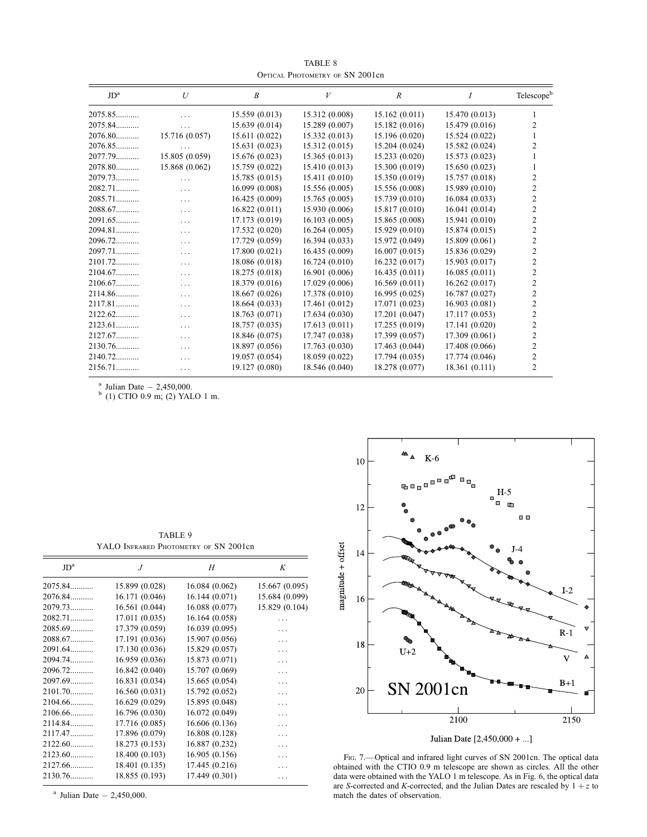TABLE 8 Optical Photometry of SN 2001cn

| JD <sup>a</sup> | U              | B              | V              | R              | Ι              | Telescopeb     |
|-----------------|----------------|----------------|----------------|----------------|----------------|----------------|
| 2075.85         | $\cdots$       | 15.559 (0.013) | 15.312 (0.008) | 15.162(0.011)  | 15.470 (0.013) |                |
| 2075.84         | $\cdots$       | 15.639 (0.014) | 15.289 (0.007) | 15.182(0.016)  | 15.479 (0.016) | 2              |
| $2076.80$       | 15.716 (0.057) | 15.611 (0.022) | 15.332(0.013)  | 15.196 (0.020) | 15.524 (0.022) |                |
| $2076.85$       |                | 15.631 (0.023) | 15.312(0.015)  | 15.204(0.024)  | 15.582 (0.024) | 2              |
| 2077.79         | 15.805 (0.059) | 15.676 (0.023) | 15.365(0.013)  | 15.233(0.020)  | 15.573 (0.023) |                |
| $2078.80$       | 15.868 (0.062) | 15.759 (0.022) | 15.410(0.013)  | 15.300 (0.019) | 15.650(0.023)  |                |
| 2079.73         | $\cdots$       | 15.785 (0.015) | 15.411 (0.010) | 15.350 (0.019) | 15.757 (0.018) | 2              |
| 2082.71         | $\cdots$       | 16.099 (0.008) | 15.556(0.005)  | 15.556 (0.008) | 15.989 (0.010) | $\overline{c}$ |
| $2085.71$       | $\cdots$       | 16.425 (0.009) | 15.765(0.005)  | 15.739(0.010)  | 16.084(0.033)  | $\overline{c}$ |
| 2088.67         | $\cdots$       | 16.822(0.011)  | 15.930 (0.006) | 15.817 (0.010) | 16.041(0.014)  | $\overline{2}$ |
| 2091.65         | $\cdots$       | 17.173 (0.019) | 16.103(0.005)  | 15.865 (0.008) | 15.941 (0.010) | $\overline{c}$ |
| 2094.81         | $\cdots$       | 17.532 (0.020) | 16.264(0.005)  | 15.929(0.010)  | 15.874(0.015)  | 2              |
| $2096.72$       | $\cdots$       | 17.729 (0.059) | 16.394(0.033)  | 15.972 (0.049) | 15.809 (0.061) | 2              |
| 2097.71         | $\cdots$       | 17.800 (0.021) | 16.435(0.009)  | 16.007(0.015)  | 15.836 (0.029) | $\overline{c}$ |
| $2101.72$       | $\cdots$       | 18.086 (0.018) | 16.724(0.010)  | 16.232(0.017)  | 15.903(0.017)  | $\mathfrak{D}$ |
| 2104.67         | $\cdots$       | 18.275 (0.018) | 16.901(0.006)  | 16.435(0.011)  | 16.085(0.011)  | 2              |
| 2106.67         | $\cdots$       | 18.379 (0.016) | 17.029(0.006)  | 16.569(0.011)  | 16.262(0.017)  | $\overline{c}$ |
| 2114.86         | $\cdots$       | 18.667 (0.026) | 17.378 (0.010) | 16.995(0.025)  | 16.787(0.027)  | 2              |
| $2117.81$       | $\cdots$       | 18.664 (0.033) | 17.461 (0.012) | 17.071 (0.023) | 16.903(0.081)  | $\overline{c}$ |
| $2122.62$       | .              | 18.763 (0.071) | 17.634(0.030)  | 17.201 (0.047) | 17.117(0.053)  | 2              |
| $2123.61$       | $\cdots$       | 18.757 (0.035) | 17.613(0.011)  | 17.255(0.019)  | 17.141 (0.020) | 2              |
| 2127.67         | $\cdots$       | 18.846 (0.075) | 17.747 (0.038) | 17.399 (0.057) | 17.309 (0.061) | $\overline{c}$ |
| $2130.76$       |                | 18.897 (0.056) | 17.763(0.030)  | 17.463 (0.044) | 17.408 (0.066) | $\overline{c}$ |
| $2140.72$       | $\cdots$       | 19.057 (0.054) | 18.059 (0.022) | 17.794(0.035)  | 17.774 (0.046) | $\mathfrak{D}$ |
| $2156.71$       | $\cdots$       | 19.127 (0.080) | 18.546 (0.040) | 18.278 (0.077) | 18.361 (0.111) | 2              |

<sup>a</sup> Julian Date  $- 2,450,000$ .<br><sup>b</sup> (1) CTIO 0.9 m; (2) YALO 1 m.

TABLE 9 YALO INFRARED PHOTOMETRY OF SN 2001cn

| JD <sup>a</sup> | $J_{\cdot}$    | H              | K              |
|-----------------|----------------|----------------|----------------|
| 2075.84         | 15.899 (0.028) | 16.084(0.062)  | 15.667 (0.095) |
| 2076.84         | 16.171 (0.046) | 16.144(0.071)  | 15.684 (0.099) |
| 2079.73         | 16.561 (0.044) | 16.088 (0.077) | 15.829 (0.104) |
| 2082.71         | 17.011(0.035)  | 16.164 (0.058) |                |
| 2085.69         | 17.379 (0.059) | 16.039 (0.095) | .              |
| 2088.67         | 17.191 (0.036) | 15.907 (0.056) | .              |
| 2091.64         | 17.130 (0.036) | 15.829 (0.057) | .              |
| 2094.74         | 16.959 (0.036) | 15.873 (0.071) | .              |
| 2096.72         | 16.842 (0.040) | 15.707 (0.069) |                |
| 2097.69         | 16.831 (0.034) | 15.665 (0.054) | .              |
| 2101.70         | 16.560(0.031)  | 15.792 (0.052) |                |
| $2104.66$       | 16.629 (0.029) | 15.895 (0.048) |                |
| 2106.66         | 16.796 (0.030) | 16.072 (0.049) | .              |
| 2114.84         | 17.716 (0.085) | 16.606 (0.136) |                |
| 2117.47         | 17.896 (0.079) | 16.808 (0.128) |                |
| 2122.60         | 18.273 (0.153) | 16.887 (0.232) | .              |
| $2123.60$       | 18.400 (0.103) | 16.905 (0.156) | .              |
| 2127.66         | 18.401 (0.135) | 17.445 (0.216) | .              |
| 2130.76         | 18.855 (0.193) | 17.449 (0.301) | .              |
|                 |                |                |                |

 $a$  Julian Date  $-2,450,000$ .



Julian Date [2,450,000 + ...]

FIG. 7. - Optical and infrared light curves of SN 2001cn. The optical data obtained with the CTIO 0.9 m telescope are shown as circles. All the other data were obtained with the YALO 1 m telescope. As in Fig. 6, the optical data are S-corrected and K-corrected, and the Julian Dates are rescaled by  $1 + z$  to match the dates of observation.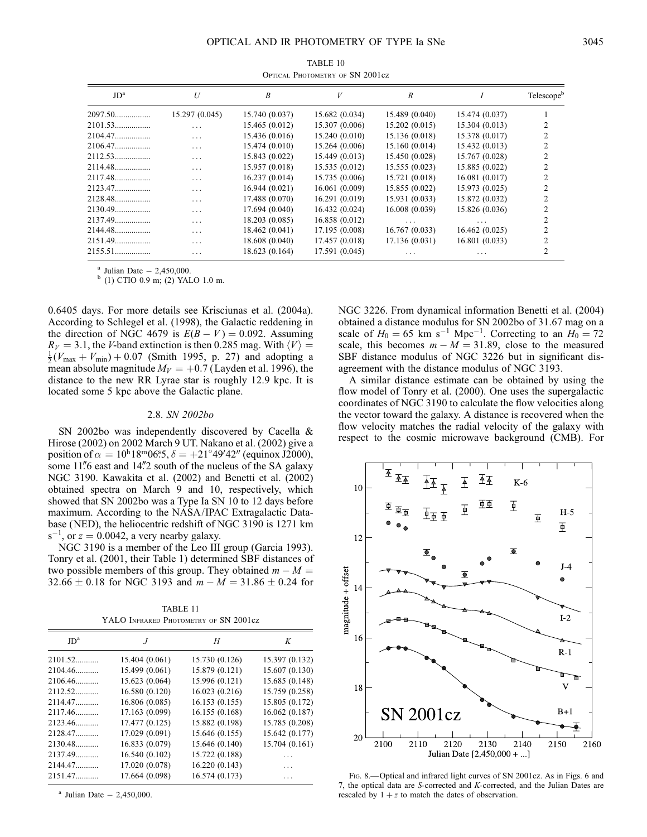| TABLE 10                        |  |  |
|---------------------------------|--|--|
| OPTICAL PHOTOMETRY OF SN 2001cz |  |  |

| JD <sup>a</sup> | U              | B              | V              | R              |                | Telescope <sup>b</sup> |
|-----------------|----------------|----------------|----------------|----------------|----------------|------------------------|
| 2097.50         | 15.297 (0.045) | 15.740 (0.037) | 15.682(0.034)  | 15.489 (0.040) | 15.474 (0.037) |                        |
|                 | $\cdots$       | 15.465 (0.012) | 15.307 (0.006) | 15.202(0.015)  | 15.304(0.013)  |                        |
| 2104.47         | $\cdots$       | 15.436(0.016)  | 15.240(0.010)  | 15.136 (0.018) | 15.378 (0.017) |                        |
| 2106.47         | $\cdots$       | 15.474(0.010)  | 15.264(0.006)  | 15.160(0.014)  | 15.432(0.013)  |                        |
| $2112.53$       | $\cdots$       | 15.843 (0.022) | 15.449(0.013)  | 15.450 (0.028) | 15.767 (0.028) |                        |
| 2114.48         | $\cdots$       | 15.957 (0.018) | 15.535(0.012)  | 15.555(0.023)  | 15.885 (0.022) |                        |
| 2117.48         | $\cdots$       | 16.237(0.014)  | 15.735(0.006)  | 15.721 (0.018) | 16.081(0.017)  |                        |
| 2123.47         | .              | 16.944(0.021)  | 16.061(0.009)  | 15.855 (0.022) | 15.973 (0.025) |                        |
|                 | $\cdots$       | 17.488 (0.070) | 16.291(0.019)  | 15.931(0.033)  | 15.872 (0.032) |                        |
| 2130.49         | .              | 17.694 (0.040) | 16.432(0.024)  | 16.008(0.039)  | 15.826 (0.036) |                        |
|                 | .              | 18.203 (0.085) | 16.858(0.012)  | $\cdots$       | .              |                        |
| 2144.48         | $\cdots$       | 18.462 (0.041) | 17.195 (0.008) | 16.767(0.033)  | 16.462(0.025)  |                        |
| 2151.49         | $\cdots$       | 18.608 (0.040) | 17.457 (0.018) | 17.136(0.031)  | 16.801(0.033)  |                        |
| 2155.51         | .              | 18.623 (0.164) | 17.591 (0.045) | $\cdots$       | .              |                        |

<sup>a</sup> Julian Date  $- 2,450,000$ .<br><sup>b</sup> (1) CTIO 0.9 m; (2) YALO 1.0 m.

0.6405 days. For more details see Krisciunas et al. (2004a). According to Schlegel et al. (1998), the Galactic reddening in the direction of NGC 4679 is  $E(B - V) = 0.092$ . Assuming  $R_V = 3.1$ , the V-band extinction is then 0.285 mag. With  $\langle V \rangle =$  $\frac{1}{2}(V_{\text{max}} + V_{\text{min}}) + 0.07$  (Smith 1995, p. 27) and adopting a mean absolute magnitude  $M_V = +0.7$  (Layden et al. 1996), the distance to the new RR Lyrae star is roughly 12.9 kpc. It is located some 5 kpc above the Galactic plane.

#### 2.8. SN 2002bo

SN 2002bo was independently discovered by Cacella & Hirose (2002) on 2002 March 9 UT. Nakano et al. (2002) give a position of  $\alpha = 10^{\text{h}}18^{\text{m}}06^{\text{s}}.5, \delta = +21^{\circ}49'42''$  (equinox J2000), some 11" 6 east and 14"2 south of the nucleus of the SA galaxy NGC 3190. Kawakita et al. (2002) and Benetti et al. (2002) obtained spectra on March 9 and 10, respectively, which showed that SN 2002bo was a Type Ia SN 10 to 12 days before maximum. According to the NASA/IPAC Extragalactic Database (NED), the heliocentric redshift of NGC 3190 is 1271 km  $s^{-1}$ , or  $z = 0.0042$ , a very nearby galaxy.

NGC 3190 is a member of the Leo III group (Garcia 1993). Tonry et al. (2001, their Table 1) determined SBF distances of two possible members of this group. They obtained  $m - M =$  $32.66 \pm 0.18$  for NGC 3193 and  $m - M = 31.86 \pm 0.24$  for

TABLE 11 YALO INFRARED PHOTOMETRY OF SN 2001cz

| JD <sup>a</sup> | $\cdot$        | H              | K              |
|-----------------|----------------|----------------|----------------|
| $2101.52$       | 15.404 (0.061) | 15.730 (0.126) | 15.397 (0.132) |
| $2104.46$       | 15.499 (0.061) | 15.879 (0.121) | 15.607 (0.130) |
| $2106.46$       | 15.623 (0.064) | 15.996 (0.121) | 15.685 (0.148) |
| $2112.52$       | 16.580 (0.120) | 16.023 (0.216) | 15.759 (0.258) |
| 2114.47         | 16.806 (0.085) | 16.153(0.155)  | 15.805 (0.172) |
| $2117.46$       | 17.163 (0.099) | 16.155 (0.168) | 16.062 (0.187) |
| 2123.46         | 17.477 (0.125) | 15.882 (0.198) | 15.785 (0.208) |
| 2128.47         | 17.029 (0.091) | 15.646 (0.155) | 15.642 (0.177) |
| $2130.48$       | 16.833 (0.079) | 15.646 (0.140) | 15.704 (0.161) |
| 2137.49         | 16.540 (0.102) | 15.722 (0.188) |                |
| 2144.47         | 17.020 (0.078) | 16.220(0.143)  | .              |
| 2151.47         | 17.664 (0.098) | 16.574 (0.173) | .              |
|                 |                |                |                |

 $a$  Julian Date  $-2,450,000$ .

NGC 3226. From dynamical information Benetti et al. (2004) obtained a distance modulus for SN 2002bo of 31.67 mag on a scale of  $H_0 = 65$  km s<sup>-1</sup> Mpc<sup>-1</sup>. Correcting to an  $H_0 = 72$ scale, this becomes  $m - M = 31.89$ , close to the measured SBF distance modulus of NGC 3226 but in significant disagreement with the distance modulus of NGC 3193.

A similar distance estimate can be obtained by using the flow model of Tonry et al. (2000). One uses the supergalactic coordinates of NGC 3190 to calculate the flow velocities along the vector toward the galaxy. A distance is recovered when the flow velocity matches the radial velocity of the galaxy with respect to the cosmic microwave background (CMB). For



Fig. 8.—Optical and infrared light curves of SN 2001cz. As in Figs. 6 and 7, the optical data are S-corrected and K-corrected, and the Julian Dates are rescaled by  $1 + z$  to match the dates of observation.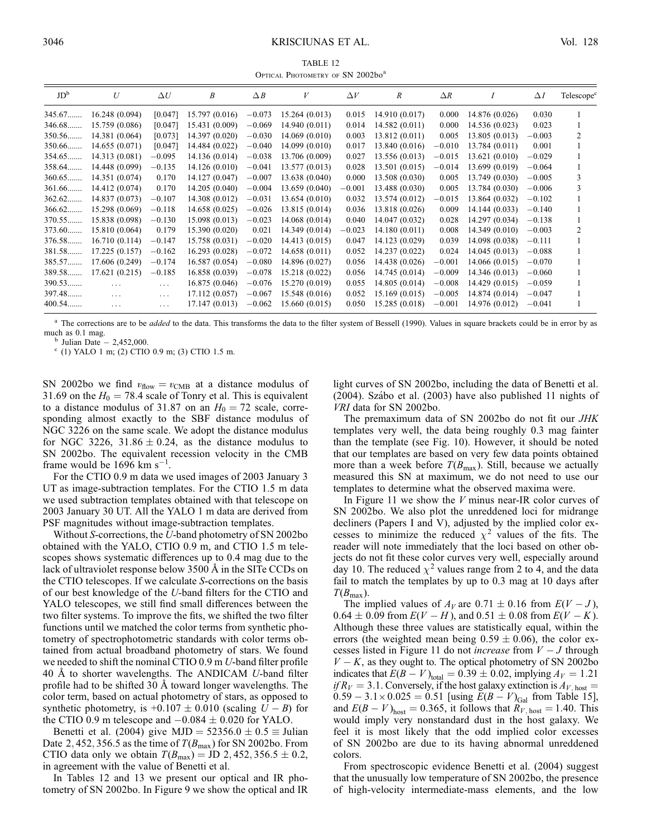### 3046 KRISCIUNAS ET AL. Vol. 128

TABLE 12 OPTICAL PHOTOMETRY OF SN 2002bo<sup>a</sup>

| JD <sup>b</sup> | U              | $\Delta U$ | B              | $\triangle B$ | V              | $\Delta V$ | $\boldsymbol{R}$ | $\Delta R$ |                | $\Delta I$ | Telescope <sup>c</sup> |
|-----------------|----------------|------------|----------------|---------------|----------------|------------|------------------|------------|----------------|------------|------------------------|
| 345.67          | 16.248(0.094)  | [0.047]    | 15.797(0.016)  | $-0.073$      | 15.264(0.013)  | 0.015      | 14.910 (0.017)   | 0.000      | 14.876 (0.026) | 0.030      |                        |
| 346.68          | 15.759 (0.086) | [0.047]    | 15.431 (0.009) | $-0.069$      | 14.940(0.011)  | 0.014      | 14.582(0.011)    | 0.000      | 14.536 (0.023) | 0.023      |                        |
| 350.56          | 14.381 (0.064) | [0.073]    | 14.397 (0.020) | $-0.030$      | 14.069(0.010)  | 0.003      | 13.812 (0.011)   | 0.005      | 13.805 (0.013) | $-0.003$   |                        |
| 350.66          | 14.655(0.071)  | [0.047]    | 14.484 (0.022) | $-0.040$      | 14.099(0.010)  | 0.017      | 13.840 (0.016)   | $-0.010$   | 13.784 (0.011) | 0.001      |                        |
| 354.65          | 14.313 (0.081) | $-0.095$   | 14.136(0.014)  | $-0.038$      | 13.706 (0.009) | 0.027      | 13.556 (0.013)   | $-0.015$   | 13.621 (0.010) | $-0.029$   |                        |
| 358.64          | 14.448 (0.099) | $-0.135$   | 14.126(0.010)  | $-0.041$      | 13.577(0.013)  | 0.028      | 13.501(0.015)    | $-0.014$   | 13.699 (0.019) | $-0.064$   |                        |
| 360.65          | 14.351 (0.074) | 0.170      | 14.127 (0.047) | $-0.007$      | 13.638(0.040)  | 0.000      | 13.508 (0.030)   | 0.005      | 13.749 (0.030) | $-0.005$   | 3                      |
| 361.66          | 14.412 (0.074) | 0.170      | 14.205(0.040)  | $-0.004$      | 13.659 (0.040) | $-0.001$   | 13.488 (0.030)   | 0.005      | 13.784 (0.030) | $-0.006$   | 3                      |
| 362.62          | 14.837 (0.073) | $-0.107$   | 14.308 (0.012) | $-0.031$      | 13.654(0.010)  | 0.032      | 13.574 (0.012)   | $-0.015$   | 13.864 (0.032) | $-0.102$   |                        |
| 366.62          | 15.298 (0.069) | $-0.118$   | 14.658(0.025)  | $-0.026$      | 13.815 (0.014) | 0.036      | 13.818 (0.026)   | 0.009      | 14.144 (0.033) | $-0.140$   |                        |
| 370.55          | 15.838 (0.098) | $-0.130$   | 15.098 (0.013) | $-0.023$      | 14.068(0.014)  | 0.040      | 14.047 (0.032)   | 0.028      | 14.297 (0.034) | $-0.138$   |                        |
| 373.60          | 15.810 (0.064) | 0.179      | 15.390 (0.020) | 0.021         | 14.349 (0.014) | $-0.023$   | 14.180(0.011)    | 0.008      | 14.349 (0.010) | $-0.003$   | $\mathcal{L}$          |
| 376.58          | 16.710(0.114)  | $-0.147$   | 15.758 (0.031) | $-0.020$      | 14.413(0.015)  | 0.047      | 14.123 (0.029)   | 0.039      | 14.098 (0.038) | $-0.111$   |                        |
| 381.58          | 17.225(0.157)  | $-0.162$   | 16.293(0.028)  | $-0.072$      | 14.658(0.011)  | 0.052      | 14.237 (0.022)   | 0.024      | 14.045 (0.013) | $-0.088$   |                        |
| 385.57          | 17.606 (0.249) | $-0.174$   | 16.587(0.054)  | $-0.080$      | 14.896 (0.027) | 0.056      | 14.438 (0.026)   | $-0.001$   | 14.066 (0.015) | $-0.070$   |                        |
| 389.58          | 17.621(0.215)  | $-0.185$   | 16.858(0.039)  | $-0.078$      | 15.218 (0.022) | 0.056      | 14.745 (0.014)   | $-0.009$   | 14.346 (0.013) | $-0.060$   |                        |
| 390.53          | $\cdots$       | $\cdots$   | 16.875(0.046)  | $-0.076$      | 15.270 (0.019) | 0.055      | 14.805 (0.014)   | $-0.008$   | 14.429 (0.015) | $-0.059$   |                        |
| 397.48          | $\cdots$       | $\cdots$   | 17.112 (0.057) | $-0.067$      | 15.548 (0.016) | 0.052      | 15.169(0.015)    | $-0.005$   | 14.874 (0.014) | $-0.047$   |                        |
| 400.54          | $\cdots$       | $\cdots$   | 17.147(0.013)  | $-0.062$      | 15.660(0.015)  | 0.050      | 15.285 (0.018)   | $-0.001$   | 14.976 (0.012) | $-0.041$   |                        |
|                 |                |            |                |               |                |            |                  |            |                |            |                        |

<sup>a</sup> The corrections are to be *added* to the data. This transforms the data to the filter system of Bessell (1990). Values in square brackets could be in error by as much as 0.1 mag.<br><sup>b</sup> Julian Date - 2,452,000.<br><sup>c</sup> (1) YALO 1 m; (2) CTIO 0.9 m; (3) CTIO 1.5 m.

SN 2002bo we find  $v_{flow} = v_{CMB}$  at a distance modulus of 31.69 on the  $H_0 = 78.4$  scale of Tonry et al. This is equivalent to a distance modulus of 31.87 on an  $H_0 = 72$  scale, corresponding almost exactly to the SBF distance modulus of NGC 3226 on the same scale. We adopt the distance modulus for NGC 3226, 31.86  $\pm$  0.24, as the distance modulus to SN 2002bo. The equivalent recession velocity in the CMB frame would be  $1696 \text{ km s}^{-1}$ .

For the CTIO 0.9 m data we used images of 2003 January 3 UT as image-subtraction templates. For the CTIO 1.5 m data we used subtraction templates obtained with that telescope on 2003 January 30 UT. All the YALO 1 m data are derived from PSF magnitudes without image-subtraction templates.

Without S-corrections, the U-band photometry of SN 2002bo obtained with the YALO, CTIO 0.9 m, and CTIO 1.5 m telescopes shows systematic differences up to 0.4 mag due to the lack of ultraviolet response below 3500 Å in the SITe CCDs on the CTIO telescopes. If we calculate S-corrections on the basis of our best knowledge of the U-band filters for the CTIO and YALO telescopes, we still find small differences between the two filter systems. To improve the fits, we shifted the two filter functions until we matched the color terms from synthetic photometry of spectrophotometric standards with color terms obtained from actual broadband photometry of stars. We found we needed to shift the nominal CTIO 0.9 m U-band filter profile 40 Å to shorter wavelengths. The ANDICAM U-band filter profile had to be shifted 30 Å toward longer wavelengths. The color term, based on actual photometry of stars, as opposed to synthetic photometry, is  $+0.107 \pm 0.010$  (scaling  $U - B$ ) for the CTIO 0.9 m telescope and  $-0.084 \pm 0.020$  for YALO.

Benetti et al. (2004) give MJD =  $52356.0 \pm 0.5 \equiv$  Julian Date 2, 452, 356.5 as the time of  $T(B_{\text{max}})$  for SN 2002bo. From CTIO data only we obtain  $T(B_{\text{max}}) = \text{JD } 2,452,356.5 \pm 0.2$ , in agreement with the value of Benetti et al.

In Tables 12 and 13 we present our optical and IR photometry of SN 2002bo. In Figure 9 we show the optical and IR light curves of SN 2002bo, including the data of Benetti et al. (2004). Szábo et al. (2003) have also published 11 nights of VRI data for SN 2002bo.

The premaximum data of SN 2002bo do not fit our JHK templates very well, the data being roughly 0.3 mag fainter than the template (see Fig. 10). However, it should be noted that our templates are based on very few data points obtained more than a week before  $T(B_{\text{max}})$ . Still, because we actually measured this SN at maximum, we do not need to use our templates to determine what the observed maxima were.

In Figure 11 we show the  $V$  minus near-IR color curves of SN 2002bo. We also plot the unreddened loci for midrange decliners (Papers I and V), adjusted by the implied color excesses to minimize the reduced  $\chi^2$  values of the fits. The reader will note immediately that the loci based on other objects do not fit these color curves very well, especially around day 10. The reduced  $\chi^2$  values range from 2 to 4, and the data fail to match the templates by up to 0.3 mag at 10 days after  $T(B_{\text{max}})$ .

The implied values of  $A_V$  are 0.71  $\pm$  0.16 from  $E(V - J)$ ,  $0.64 \pm 0.09$  from  $E(V - H)$ , and  $0.51 \pm 0.08$  from  $E(V - K)$ . Although these three values are statistically equal, within the errors (the weighted mean being  $0.59 \pm 0.06$ ), the color excesses listed in Figure 11 do not *increase* from  $V - J$  through  $V - K$ , as they ought to. The optical photometry of SN 2002bo indicates that  $E(B - V)_{\text{total}} = 0.39 \pm 0.02$ , implying  $A_V = 1.21$ if  $R_V = 3.1$ . Conversely, if the host galaxy extinction is  $A_{V, \text{host}} =$  $0.59 - 3.1 \times 0.025 = 0.51$  [using  $E(B - V)_{Gal}$  from Table 15], and  $E(B - V)_{\text{host}} = 0.365$ , it follows that  $R_{V, \text{host}} = 1.40$ . This would imply very nonstandard dust in the host galaxy. We feel it is most likely that the odd implied color excesses of SN 2002bo are due to its having abnormal unreddened colors.

From spectroscopic evidence Benetti et al. (2004) suggest that the unusually low temperature of SN 2002bo, the presence of high-velocity intermediate-mass elements, and the low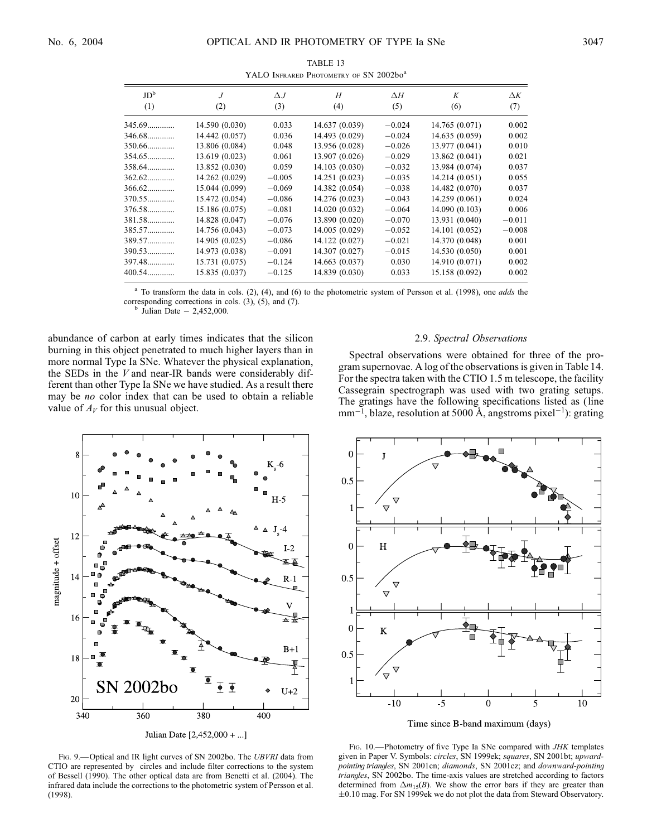|                        |                       |                   | THEO IMPORT FROMEINT OF DITZ00200 |                   |                |                   |
|------------------------|-----------------------|-------------------|-----------------------------------|-------------------|----------------|-------------------|
| JD <sup>b</sup><br>(1) | $\overline{J}$<br>(2) | $\Delta J$<br>(3) | H<br>(4)                          | $\Delta H$<br>(5) | K<br>(6)       | $\Delta K$<br>(7) |
|                        |                       |                   |                                   |                   |                |                   |
| 345.69                 | 14.590 (0.030)        | 0.033             | 14.637 (0.039)                    | $-0.024$          | 14.765(0.071)  | 0.002             |
| 346.68                 | 14.442 (0.057)        | 0.036             | 14.493 (0.029)                    | $-0.024$          | 14.635 (0.059) | 0.002             |
| 350.66                 | 13.806 (0.084)        | 0.048             | 13.956 (0.028)                    | $-0.026$          | 13.977 (0.041) | 0.010             |
| 354.65                 | 13.619 (0.023)        | 0.061             | 13.907 (0.026)                    | $-0.029$          | 13.862 (0.041) | 0.021             |
| 358.64                 | 13.852 (0.030)        | 0.059             | 14.103 (0.030)                    | $-0.032$          | 13.984 (0.074) | 0.037             |
| $362.62$               | 14.262 (0.029)        | $-0.005$          | 14.251 (0.023)                    | $-0.035$          | 14.214 (0.051) | 0.055             |
| $366.62$               | 15.044 (0.099)        | $-0.069$          | 14.382 (0.054)                    | $-0.038$          | 14.482 (0.070) | 0.037             |
| 370.55                 | 15.472 (0.054)        | $-0.086$          | 14.276 (0.023)                    | $-0.043$          | 14.259 (0.061) | 0.024             |
| 376.58                 | 15.186 (0.075)        | $-0.081$          | 14.020 (0.032)                    | $-0.064$          | 14.090 (0.103) | 0.006             |
| 381.58                 | 14.828 (0.047)        | $-0.076$          | 13.890 (0.020)                    | $-0.070$          | 13.931 (0.040) | $-0.011$          |
| 385.57                 | 14.756 (0.043)        | $-0.073$          | 14.005 (0.029)                    | $-0.052$          | 14.101 (0.052) | $-0.008$          |
| 389.57                 | 14.905 (0.025)        | $-0.086$          | 14.122 (0.027)                    | $-0.021$          | 14.370 (0.048) | 0.001             |
| 390.53                 | 14.973 (0.038)        | $-0.091$          | 14.307 (0.027)                    | $-0.015$          | 14.530 (0.050) | 0.001             |
| 397.48                 | 15.731 (0.075)        | $-0.124$          | 14.663 (0.037)                    | 0.030             | 14.910 (0.071) | 0.002             |
| 400.54                 | 15.835 (0.037)        | $-0.125$          | 14.839 (0.030)                    | 0.033             | 15.158 (0.092) | 0.002             |
|                        |                       |                   |                                   |                   |                |                   |

TABLE 13 YALO INFRARED PHOTOMETRY OF SN 2002bo<sup>a</sup>

To transform the data in cols. (2), (4), and (6) to the photometric system of Persson et al. (1998), one *adds* the corresponding corrections in cols. (3), (5), and (7). b Julian Date  $-2,452,000$ .

abundance of carbon at early times indicates that the silicon burning in this object penetrated to much higher layers than in more normal Type Ia SNe. Whatever the physical explanation, the SEDs in the  $V$  and near-IR bands were considerably different than other Type Ia SNe we have studied. As a result there may be no color index that can be used to obtain a reliable value of  $A_V$  for this unusual object.

## 2.9. Spectral Observations

Spectral observations were obtained for three of the program supernovae. A log of the observations is given in Table 14. For the spectra taken with the CTIO 1.5 m telescope, the facility Cassegrain spectrograph was used with two grating setups. The gratings have the following specifications listed as (line  $mm^{-1}$ , blaze, resolution at 5000 Å, angstroms pixel<sup>-1</sup>): grating



FIG. 9.- Optical and IR light curves of SN 2002bo. The UBVRI data from CTIO are represented by circles and include filter corrections to the system of Bessell (1990). The other optical data are from Benetti et al. (2004). The infrared data include the corrections to the photometric system of Persson et al. (1998).



FIG. 10.—Photometry of five Type Ia SNe compared with JHK templates given in Paper V. Symbols: circles, SN 1999ek; squares, SN 2001bt; upwardpointing triangles, SN 2001cn; diamonds, SN 2001cz; and downward-pointing triangles, SN 2002bo. The time-axis values are stretched according to factors determined from  $\Delta m_{15}(B)$ . We show the error bars if they are greater than  $\pm 0.10$  mag. For SN 1999ek we do not plot the data from Steward Observatory.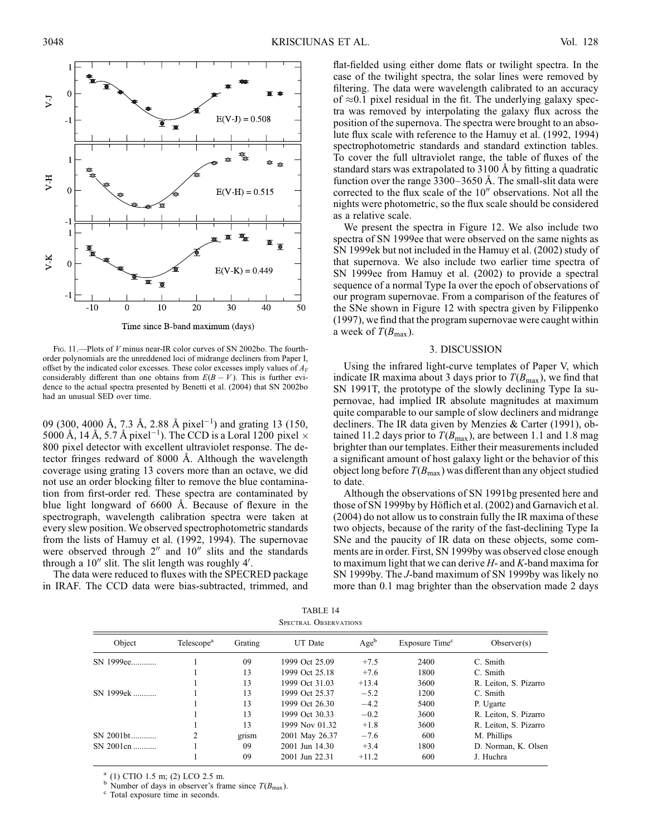

Time since B-band maximum (days)

Fig. 11.—Plots of *V* minus near-IR color curves of SN 2002bo. The fourthorder polynomials are the unreddened loci of midrange decliners from Paper I, offset by the indicated color excesses. These color excesses imply values of  $A_V$ considerably different than one obtains from  $E(B - V)$ . This is further evidence to the actual spectra presented by Benetti et al. (2004) that SN 2002bo had an unusual SED over time.

09 (300, 4000 Å, 7.3 Å, 2.88 Å pixel<sup>-1</sup>) and grating 13 (150, 5000 Å, 14 Å, 5.7 Å pixel<sup>-1</sup>). The CCD is a Loral 1200 pixel  $\times$ 800 pixel detector with excellent ultraviolet response. The detector fringes redward of 8000 Å. Although the wavelength coverage using grating 13 covers more than an octave, we did not use an order blocking filter to remove the blue contamination from first-order red. These spectra are contaminated by blue light longward of 6600 Å. Because of flexure in the spectrograph, wavelength calibration spectra were taken at every slew position. We observed spectrophotometric standards from the lists of Hamuy et al. (1992, 1994). The supernovae were observed through  $2^{\prime\prime}$  and  $10^{\prime\prime}$  slits and the standards through a 10" slit. The slit length was roughly 4'.

The data were reduced to fluxes with the SPECRED package in IRAF. The CCD data were bias-subtracted, trimmed, and flat-fielded using either dome flats or twilight spectra. In the case of the twilight spectra, the solar lines were removed by filtering. The data were wavelength calibrated to an accuracy of  $\approx$ 0.1 pixel residual in the fit. The underlying galaxy spectra was removed by interpolating the galaxy flux across the position of the supernova. The spectra were brought to an absolute flux scale with reference to the Hamuy et al. (1992, 1994) spectrophotometric standards and standard extinction tables. To cover the full ultraviolet range, the table of fluxes of the standard stars was extrapolated to 3100 Å by fitting a quadratic function over the range  $3300-3650$  Å. The small-slit data were corrected to the flux scale of the  $10<sup>u</sup>$  observations. Not all the nights were photometric, so the flux scale should be considered as a relative scale.

We present the spectra in Figure 12. We also include two spectra of SN 1999ee that were observed on the same nights as SN 1999ek but not included in the Hamuy et al. (2002) study of that supernova. We also include two earlier time spectra of SN 1999ee from Hamuy et al. (2002) to provide a spectral sequence of a normal Type Ia over the epoch of observations of our program supernovae. From a comparison of the features of the SNe shown in Figure 12 with spectra given by Filippenko (1997), we find that the program supernovae were caught within a week of  $T(B_{\text{max}})$ .

## 3. DISCUSSION

Using the infrared light-curve templates of Paper V, which indicate IR maxima about 3 days prior to  $T(B_{\text{max}})$ , we find that SN 1991T, the prototype of the slowly declining Type Ia supernovae, had implied IR absolute magnitudes at maximum quite comparable to our sample of slow decliners and midrange decliners. The IR data given by Menzies & Carter (1991), obtained 11.2 days prior to  $T(B_{\text{max}})$ , are between 1.1 and 1.8 mag brighter than our templates. Either their measurements included a significant amount of host galaxy light or the behavior of this object long before  $T(B_{\text{max}})$  was different than any object studied to date.

Although the observations of SN 1991bg presented here and those of SN 1999by by Höflich et al. (2002) and Garnavich et al. (2004) do not allow us to constrain fully the IR maxima of these two objects, because of the rarity of the fast-declining Type Ia SNe and the paucity of IR data on these objects, some comments are in order. First, SN 1999by was observed close enough to maximum light that we can derive  $H$ - and  $K$ -band maxima for SN 1999by. The J-band maximum of SN 1999by was likely no more than 0.1 mag brighter than the observation made 2 days

TABLE 14 Spectral Observations

| Object    | Telescope <sup>a</sup> | Grating | UT Date        | Age <sup>b</sup> | Exposure Time <sup>c</sup> | Observer(s)           |
|-----------|------------------------|---------|----------------|------------------|----------------------------|-----------------------|
| SN 1999ee |                        | 09      | 1999 Oct 25.09 | $+7.5$           | 2400                       | C. Smith              |
|           |                        | 13      | 1999 Oct 25.18 | $+7.6$           | 1800                       | C. Smith              |
|           |                        | 13      | 1999 Oct 31.03 | $+13.4$          | 3600                       | R. Leiton, S. Pizarro |
| SN 1999ek |                        | 13      | 1999 Oct 25.37 | $-5.2$           | 1200                       | C. Smith              |
|           |                        | 13      | 1999 Oct 26.30 | $-4.2$           | 5400                       | P. Ugarte             |
|           |                        | 13      | 1999 Oct 30.33 | $-0.2$           | 3600                       | R. Leiton, S. Pizarro |
|           |                        | 13      | 1999 Nov 01.32 | $+1.8$           | 3600                       | R. Leiton, S. Pizarro |
| SN 2001bt | $\overline{c}$         | grism   | 2001 May 26.37 | $-7.6$           | 600                        | M. Phillips           |
| SN 2001cn |                        | 09      | 2001 Jun 14.30 | $+3.4$           | 1800                       | D. Norman, K. Olsen   |
|           |                        | 09      | 2001 Jun 22.31 | $+11.2$          | 600                        | J. Huchra             |
|           |                        |         |                |                  |                            |                       |

<sup>a</sup> (1) CTIO 1.5 m; (2) LCO 2.5 m.<br><sup>b</sup> Number of days in observer's frame since  $T(B_{\text{max}})$ . c Total exposure time in seconds.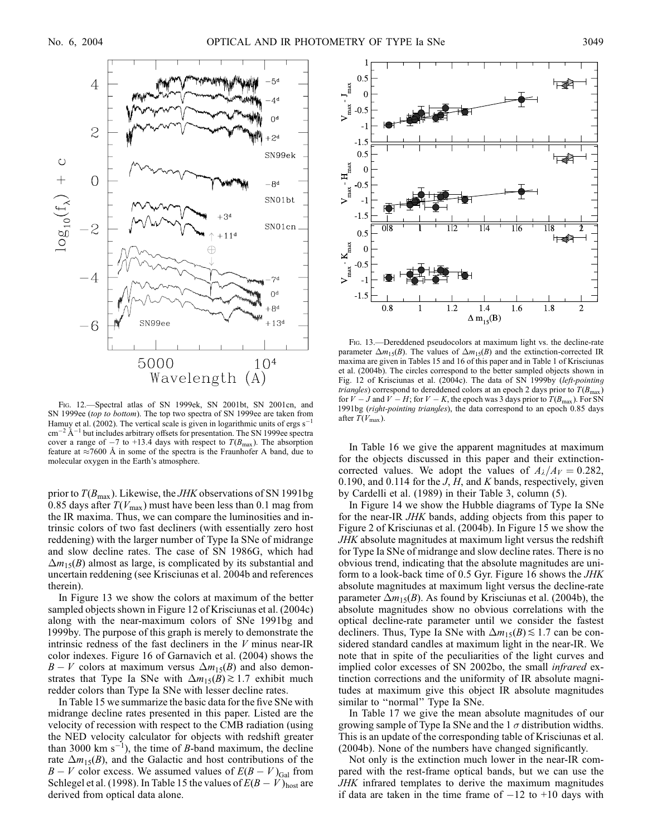

Fig. 12.—Spectral atlas of SN 1999ek, SN 2001bt, SN 2001cn, and SN 1999ee (top to bottom). The top two spectra of SN 1999ee are taken from Hamuy et al. (2002). The vertical scale is given in logarithmic units of ergs  $s^ \text{cm}^{-2}$   $\text{\AA}^{-1}$  but includes arbitrary offsets for presentation. The SN 1999ee spectra cover a range of  $-7$  to +13.4 days with respect to  $T(B_{\text{max}})$ . The absorption feature at  $\approx$  7600 Å in some of the spectra is the Fraunhofer A band, due to molecular oxygen in the Earth's atmosphere.

prior to  $T(B_{\text{max}})$ . Likewise, the *JHK* observations of SN 1991bg 0.85 days after  $T(V_{\text{max}})$  must have been less than 0.1 mag from the IR maxima. Thus, we can compare the luminosities and intrinsic colors of two fast decliners (with essentially zero host reddening) with the larger number of Type Ia SNe of midrange and slow decline rates. The case of SN 1986G, which had  $\Delta m_{15}(B)$  almost as large, is complicated by its substantial and uncertain reddening (see Krisciunas et al. 2004b and references therein).

In Figure 13 we show the colors at maximum of the better sampled objects shown in Figure 12 of Krisciunas et al. (2004c) along with the near-maximum colors of SNe 1991bg and 1999by. The purpose of this graph is merely to demonstrate the intrinsic redness of the fast decliners in the  $V$  minus near-IR color indexes. Figure 16 of Garnavich et al. (2004) shows the  $B - V$  colors at maximum versus  $\Delta m_{15}(B)$  and also demonstrates that Type Ia SNe with  $\Delta m_{15}(B) \gtrsim 1.7$  exhibit much redder colors than Type Ia SNe with lesser decline rates.

In Table 15 we summarize the basic data for the five SNe with midrange decline rates presented in this paper. Listed are the velocity of recession with respect to the CMB radiation (using the NED velocity calculator for objects with redshift greater than 3000 km  $s^{-1}$ ), the time of *B*-band maximum, the decline rate  $\Delta m_{15}(B)$ , and the Galactic and host contributions of the  $B - V$  color excess. We assumed values of  $E(B - V)_{Gal}$  from Schlegel et al. (1998). In Table 15 the values of  $E(B - V)_{\text{host}}$  are derived from optical data alone.



Fig. 13.—Dereddened pseudocolors at maximum light vs. the decline-rate parameter  $\Delta m_1$ <sub>5</sub>(B). The values of  $\Delta m_1$ <sub>5</sub>(B) and the extinction-corrected IR maxima are given in Tables 15 and 16 of this paper and in Table 1 of Krisciunas et al. (2004b). The circles correspond to the better sampled objects shown in Fig. 12 of Krisciunas et al. (2004c). The data of SN 1999by (left-pointing *triangles*) correspond to dereddened colors at an epoch 2 days prior to  $T(B_{\text{max}})$ for  $V - J$  and  $V - H$ ; for  $V - K$ , the epoch was 3 days prior to  $T(B_{\text{max}})$ . For SN 1991bg (right-pointing triangles), the data correspond to an epoch 0.85 days after  $T(V_{\text{max}})$ .

In Table 16 we give the apparent magnitudes at maximum for the objects discussed in this paper and their extinctioncorrected values. We adopt the values of  $A_{\lambda}/A_{V}=0.282$ , 0.190, and 0.114 for the  $J, H$ , and K bands, respectively, given by Cardelli et al. (1989) in their Table 3, column (5).

In Figure 14 we show the Hubble diagrams of Type Ia SNe for the near-IR JHK bands, adding objects from this paper to Figure 2 of Krisciunas et al. (2004b). In Figure 15 we show the JHK absolute magnitudes at maximum light versus the redshift for Type Ia SNe of midrange and slow decline rates. There is no obvious trend, indicating that the absolute magnitudes are uniform to a look-back time of 0.5 Gyr. Figure 16 shows the JHK absolute magnitudes at maximum light versus the decline-rate parameter  $\Delta m_{15}(B)$ . As found by Krisciunas et al. (2004b), the absolute magnitudes show no obvious correlations with the optical decline-rate parameter until we consider the fastest decliners. Thus, Type Ia SNe with  $\Delta m_{15}(B) \lesssim 1.7$  can be considered standard candles at maximum light in the near-IR. We note that in spite of the peculiarities of the light curves and implied color excesses of SN 2002bo, the small infrared extinction corrections and the uniformity of IR absolute magnitudes at maximum give this object IR absolute magnitudes similar to "normal" Type Ia SNe.

In Table 17 we give the mean absolute magnitudes of our growing sample of Type Ia SNe and the  $1 \sigma$  distribution widths. This is an update of the corresponding table of Krisciunas et al. (2004b). None of the numbers have changed significantly.

Not only is the extinction much lower in the near-IR compared with the rest-frame optical bands, but we can use the JHK infrared templates to derive the maximum magnitudes if data are taken in the time frame of  $-12$  to  $+10$  days with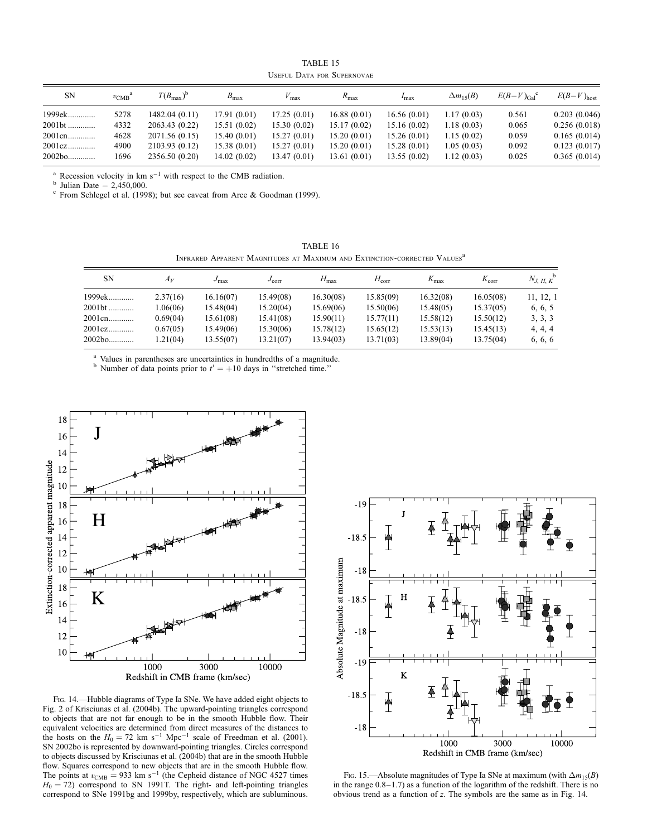TABLE 15 Useful Data for Supernovae

| <b>SN</b>            | $v_{\rm CMB}$ | $T(B_{\max})^{\rm b}$ | $B_{\text{max}}$ | $V_{\rm max}$ | $R_{\text{max}}$ | $I_{\text{max}}$ | $\Delta m_{15}(B)$ | $E(B-V)_{Gal}$ <sup>c</sup> | $E(B-V)_{\text{host}}$ |
|----------------------|---------------|-----------------------|------------------|---------------|------------------|------------------|--------------------|-----------------------------|------------------------|
| 1999ek               | 5278          | 1482.04 (0.11)        | 17.91(0.01)      | 17.25(0.01)   | 16.88(0.01)      | 16.56(0.01)      | 1.17(0.03)         | 0.561                       | 0.203(0.046)           |
| 2001bt               | 4332          | 2063.43 (0.22)        | 15.51(0.02)      | 15.30(0.02)   | 15.17(0.02)      | 15.16(0.02)      | 1.18(0.03)         | 0.065                       | 0.256(0.018)           |
| 2001cn               | 4628          | 2071.56 (0.15)        | 15.40(0.01)      | 15.27(0.01)   | 15.20(0.01)      | 15.26 (0.01)     | 1.15(0.02)         | 0.059                       | 0.165(0.014)           |
|                      | 4900          | 2103.93 (0.12)        | 15.38 (0.01)     | 15.27(0.01)   | 15.20(0.01)      | 15.28 (0.01)     | 1.05(0.03)         | 0.092                       | 0.123(0.017)           |
| $2002b$ <sub>0</sub> | 1696          | 2356.50 (0.20)        | 14.02(0.02)      | 13.47(0.01)   | 13.61 (0.01)     | 13.55 (0.02)     | 1.12(0.03)         | 0.025                       | 0.365(0.014)           |

<sup>a</sup> Recession velocity in km s<sup>-1</sup> with respect to the CMB radiation.<br><sup>b</sup> Julian Date  $- 2,450,000$ .<br><sup>c</sup> From Schlegel et al. (1998); but see caveat from Arce & Goodman (1999).

TABLE 16 INFRARED APPARENT MAGNITUDES AT MAXIMUM AND EXTINCTION-CORRECTED VALUES<sup>a</sup>

| <b>SN</b> | $A_V$    | $J_{\rm max}$ | $J_{\rm corr}$ | $H_{\rm max}$ | $H_{\rm corr}$ | $K_{\text{max}}$ | $K_{\rm corr}$ | $N_{J, H, K}^{\qquad b}$ |
|-----------|----------|---------------|----------------|---------------|----------------|------------------|----------------|--------------------------|
| 1999ek    | 2.37(16) | 16.16(07)     | 15.49(08)      | 16.30(08)     | 15.85(09)      | 16.32(08)        | 16.05(08)      | 11, 12, 1                |
| 2001bt    | 1.06(06) | 15.48(04)     | 15.20(04)      | 15.69(06)     | 15.50(06)      | 15.48(05)        | 15.37(05)      | 6, 6, 5                  |
| 2001 cn   | 0.69(04) | 15.61(08)     | 15.41(08)      | 15.90(11)     | 15.77(11)      | 15.58(12)        | 15.50(12)      | 3, 3, 3                  |
| 2001cz    | 0.67(05) | 15.49(06)     | 15.30(06)      | 15.78(12)     | 15.65(12)      | 15.53(13)        | 15.45(13)      | 4, 4, 4                  |
| 2002bo    | 1.21(04) | 13.55(07)     | 13.21(07)      | 13.94(03)     | 13.71(03)      | 13.89(04)        | 13.75(04)      | 6, 6, 6                  |

<sup>a</sup> Values in parentheses are uncertainties in hundredths of a magnitude.<br><sup>b</sup> Number of data points prior to  $t' = +10$  days in "stretched time."



Fig. 14.—Hubble diagrams of Type Ia SNe. We have added eight objects to Fig. 2 of Krisciunas et al. (2004b). The upward-pointing triangles correspond to objects that are not far enough to be in the smooth Hubble flow. Their equivalent velocities are determined from direct measures of the distances to the hosts on the  $H_0 = 72$  km s<sup>-1</sup> Mpc<sup>-1</sup> scale of Freedman et al. (2001). SN 2002bo is represented by downward-pointing triangles. Circles correspond to objects discussed by Krisciunas et al. (2004b) that are in the smooth Hubble flow. Squares correspond to new objects that are in the smooth Hubble flow.<br>The points at  $v_{\text{CMB}} = 933 \text{ km s}^{-1}$  (the Cepheid distance of NGC 4527 times  $H_0 = 72$ ) correspond to SN 1991T. The right- and left-pointing triangles correspond to SNe 1991bg and 1999by, respectively, which are subluminous.



Fig. 15.—Absolute magnitudes of Type Ia SNe at maximum (with  $\Delta m_{15}(B)$ ) in the range 0.8–1.7) as a function of the logarithm of the redshift. There is no obvious trend as a function of z. The symbols are the same as in Fig. 14.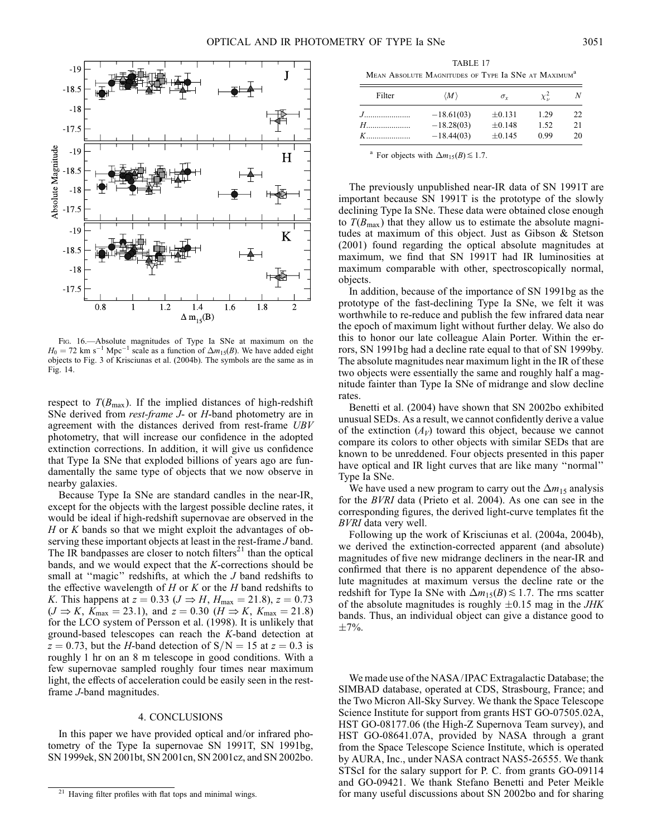

Fig. 16.—Absolute magnitudes of Type Ia SNe at maximum on the  $H_0 = 72$  km s<sup>-1</sup> Mpc<sup>-1</sup> scale as a function of  $\Delta m_{15}(B)$ . We have added eight objects to Fig. 3 of Krisciunas et al. (2004b). The symbols are the same as in Fig. 14.

respect to  $T(B_{\text{max}})$ . If the implied distances of high-redshift SNe derived from *rest-frame J*- or *H*-band photometry are in agreement with the distances derived from rest-frame UBV photometry, that will increase our confidence in the adopted extinction corrections. In addition, it will give us confidence that Type Ia SNe that exploded billions of years ago are fundamentally the same type of objects that we now observe in nearby galaxies.

Because Type Ia SNe are standard candles in the near-IR, except for the objects with the largest possible decline rates, it would be ideal if high-redshift supernovae are observed in the  $H$  or  $K$  bands so that we might exploit the advantages of observing these important objects at least in the rest-frame J band. The IR bandpasses are closer to notch filters<sup>21</sup> than the optical bands, and we would expect that the K-corrections should be small at "magic" redshifts, at which the *J* band redshifts to the effective wavelength of  $H$  or  $K$  or the  $H$  band redshifts to K. This happens at  $z = 0.33$  ( $J \Rightarrow H$ ,  $H_{\text{max}} = 21.8$ ),  $z = 0.73$  $(J \Rightarrow K, K_{\text{max}} = 23.1)$ , and  $z = 0.30$   $(H \Rightarrow K, K_{\text{max}} = 21.8)$ for the LCO system of Persson et al. (1998). It is unlikely that ground-based telescopes can reach the K-band detection at  $z = 0.73$ , but the H-band detection of  $S/N = 15$  at  $z = 0.3$  is roughly 1 hr on an 8 m telescope in good conditions. With a few supernovae sampled roughly four times near maximum light, the effects of acceleration could be easily seen in the restframe J-band magnitudes.

## 4. CONCLUSIONS

In this paper we have provided optical and/or infrared photometry of the Type Ia supernovae SN 1991T, SN 1991bg, SN 1999ek, SN 2001bt, SN 2001cn, SN 2001cz, and SN 2002bo.

TABLE 17 MEAN ABSOLUTE MAGNITUDES OF TYPE Ia SNe AT MAXIMUM<sup>a</sup>

| Filter                                                                                                                                                                                                                        | $\langle M \rangle$ | $\sigma_{r}$ | $\chi^2_{\nu}$ | N  |
|-------------------------------------------------------------------------------------------------------------------------------------------------------------------------------------------------------------------------------|---------------------|--------------|----------------|----|
|                                                                                                                                                                                                                               | $-18.61(03)$        | $\pm 0.131$  | 1.29           | 22 |
| $H$ and $H$ and $H$ and $H$ and $H$ and $H$ and $H$ and $H$ and $H$ and $H$ and $H$ and $H$ and $H$ and $H$ and $H$ and $H$ and $H$ and $H$ and $H$ and $H$ and $H$ and $H$ and $H$ and $H$ and $H$ and $H$ and $H$ and $H$ a | $-18.28(03)$        | $+0.148$     | 1.52           | 21 |
| $K$ and $K$                                                                                                                                                                                                                   | $-18.44(03)$        | $+0.145$     | 0.99           | 20 |

<sup>a</sup> For objects with  $\Delta m_{15}(B) \lesssim 1.7$ .

The previously unpublished near-IR data of SN 1991T are important because SN 1991T is the prototype of the slowly declining Type Ia SNe. These data were obtained close enough to  $T(B_{\text{max}})$  that they allow us to estimate the absolute magnitudes at maximum of this object. Just as Gibson & Stetson (2001) found regarding the optical absolute magnitudes at maximum, we find that SN 1991T had IR luminosities at maximum comparable with other, spectroscopically normal, objects.

In addition, because of the importance of SN 1991bg as the prototype of the fast-declining Type Ia SNe, we felt it was worthwhile to re-reduce and publish the few infrared data near the epoch of maximum light without further delay. We also do this to honor our late colleague Alain Porter. Within the errors, SN 1991bg had a decline rate equal to that of SN 1999by. The absolute magnitudes near maximum light in the IR of these two objects were essentially the same and roughly half a magnitude fainter than Type Ia SNe of midrange and slow decline rates.

Benetti et al. (2004) have shown that SN 2002bo exhibited unusual SEDs. As a result, we cannot confidently derive a value of the extinction  $(A_V)$  toward this object, because we cannot compare its colors to other objects with similar SEDs that are known to be unreddened. Four objects presented in this paper have optical and IR light curves that are like many ''normal'' Type Ia SNe.

We have used a new program to carry out the  $\Delta m_{15}$  analysis for the BVRI data (Prieto et al. 2004). As one can see in the corresponding figures, the derived light-curve templates fit the BVRI data very well.

Following up the work of Krisciunas et al. (2004a, 2004b), we derived the extinction-corrected apparent (and absolute) magnitudes of five new midrange decliners in the near-IR and confirmed that there is no apparent dependence of the absolute magnitudes at maximum versus the decline rate or the redshift for Type Ia SNe with  $\Delta m_{15}(B) \lesssim 1.7$ . The rms scatter of the absolute magnitudes is roughly  $\pm 0.15$  mag in the *JHK* bands. Thus, an individual object can give a distance good to  $\pm 7\%$ .

We made use of the NASA/ IPAC Extragalactic Database; the SIMBAD database, operated at CDS, Strasbourg, France; and the Two Micron All-Sky Survey. We thank the Space Telescope Science Institute for support from grants HST GO-07505.02A, HST GO-08177.06 (the High-Z Supernova Team survey), and HST GO-08641.07A, provided by NASA through a grant from the Space Telescope Science Institute, which is operated by AURA, Inc., under NASA contract NAS5-26555. We thank STScI for the salary support for P. C. from grants GO-09114 and GO-09421. We thank Stefano Benetti and Peter Meikle <sup>21</sup> Having filter profiles with flat tops and minimal wings. **2002** for many useful discussions about SN 2002bo and for sharing